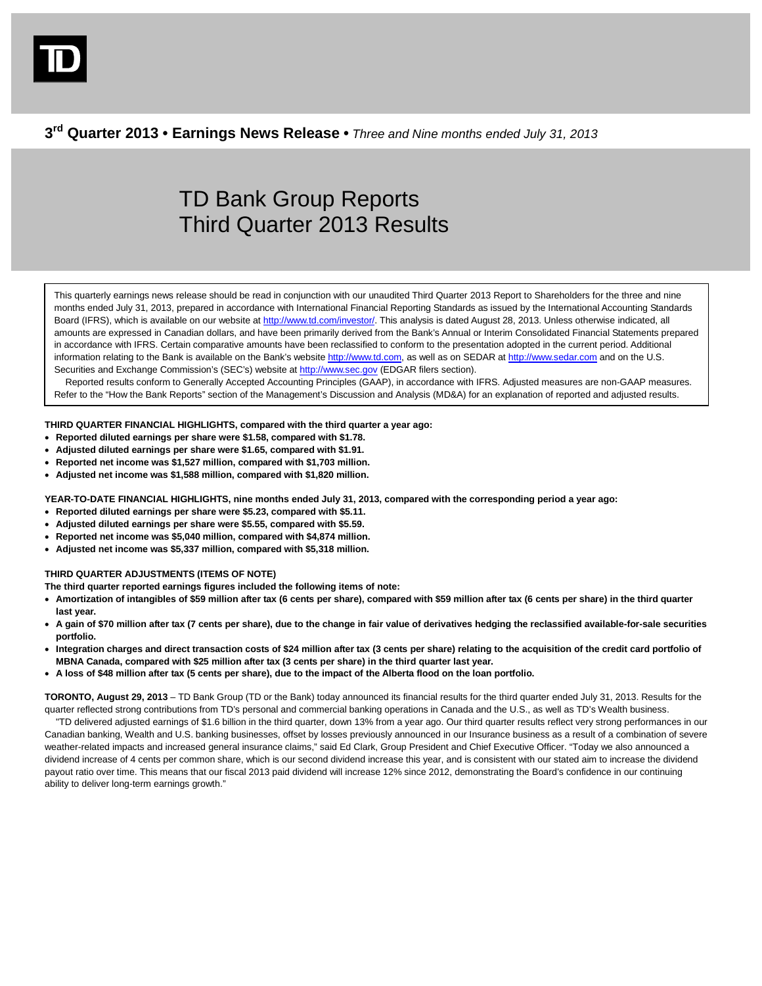**3rd Quarter 2013 • Earnings News Release •** *Three and Nine months ended July 31, 2013*

# TD Bank Group Reports Third Quarter 2013 Results

This quarterly earnings news release should be read in conjunction with our unaudited Third Quarter 2013 Report to Shareholders for the three and nine months ended July 31, 2013, prepared in accordance with International Financial Reporting Standards as issued by the International Accounting Standards Board (IFRS), which is available on our website a[t http://www.td.com/investor/.](http://www.td.com/investor/) This analysis is dated August 28, 2013. Unless otherwise indicated, all amounts are expressed in Canadian dollars, and have been primarily derived from the Bank's Annual or Interim Consolidated Financial Statements prepared in accordance with IFRS. Certain comparative amounts have been reclassified to conform to the presentation adopted in the current period. Additional information relating to the Bank is available on the Bank's websit[e http://www.td.com,](http://www.td.com/) as well as on SEDAR a[t http://www.sedar.com](http://www.sedar.com/) and on the U.S. Securities and Exchange Commission's (SEC's) website at [http://www.sec.gov](http://www.sec.gov/) (EDGAR filers section).

Reported results conform to Generally Accepted Accounting Principles (GAAP), in accordance with IFRS. Adjusted measures are non-GAAP measures. Refer to the "How the Bank Reports" section of the Management's Discussion and Analysis (MD&A) for an explanation of reported and adjusted results.

# **THIRD QUARTER FINANCIAL HIGHLIGHTS, compared with the third quarter a year ago:**

- **Reported diluted earnings per share were \$1.58, compared with \$1.78.**
- **Adjusted diluted earnings per share were \$1.65, compared with \$1.91.**
- **Reported net income was \$1,527 million, compared with \$1,703 million.**
- **Adjusted net income was \$1,588 million, compared with \$1,820 million.**

**YEAR-TO-DATE FINANCIAL HIGHLIGHTS, nine months ended July 31, 2013, compared with the corresponding period a year ago:**

- **Reported diluted earnings per share were \$5.23, compared with \$5.11.**
- **Adjusted diluted earnings per share were \$5.55, compared with \$5.59.**
- **Reported net income was \$5,040 million, compared with \$4,874 million.**
- **Adjusted net income was \$5,337 million, compared with \$5,318 million.**

# **THIRD QUARTER ADJUSTMENTS (ITEMS OF NOTE)**

**The third quarter reported earnings figures included the following items of note:**

- **Amortization of intangibles of \$59 million after tax (6 cents per share), compared with \$59 million after tax (6 cents per share) in the third quarter last year.**
- **A gain of \$70 million after tax (7 cents per share), due to the change in fair value of derivatives hedging the reclassified available-for-sale securities portfolio.**
- **Integration charges and direct transaction costs of \$24 million after tax (3 cents per share) relating to the acquisition of the credit card portfolio of MBNA Canada, compared with \$25 million after tax (3 cents per share) in the third quarter last year.**
- **A loss of \$48 million after tax (5 cents per share), due to the impact of the Alberta flood on the loan portfolio.**

**TORONTO, August 29, 2013** – TD Bank Group (TD or the Bank) today announced its financial results for the third quarter ended July 31, 2013. Results for the quarter reflected strong contributions from TD's personal and commercial banking operations in Canada and the U.S., as well as TD's Wealth business.

"TD delivered adjusted earnings of \$1.6 billion in the third quarter, down 13% from a year ago. Our third quarter results reflect very strong performances in our Canadian banking, Wealth and U.S. banking businesses, offset by losses previously announced in our Insurance business as a result of a combination of severe weather-related impacts and increased general insurance claims," said Ed Clark, Group President and Chief Executive Officer. "Today we also announced a dividend increase of 4 cents per common share, which is our second dividend increase this year, and is consistent with our stated aim to increase the dividend payout ratio over time. This means that our fiscal 2013 paid dividend will increase 12% since 2012, demonstrating the Board's confidence in our continuing ability to deliver long-term earnings growth."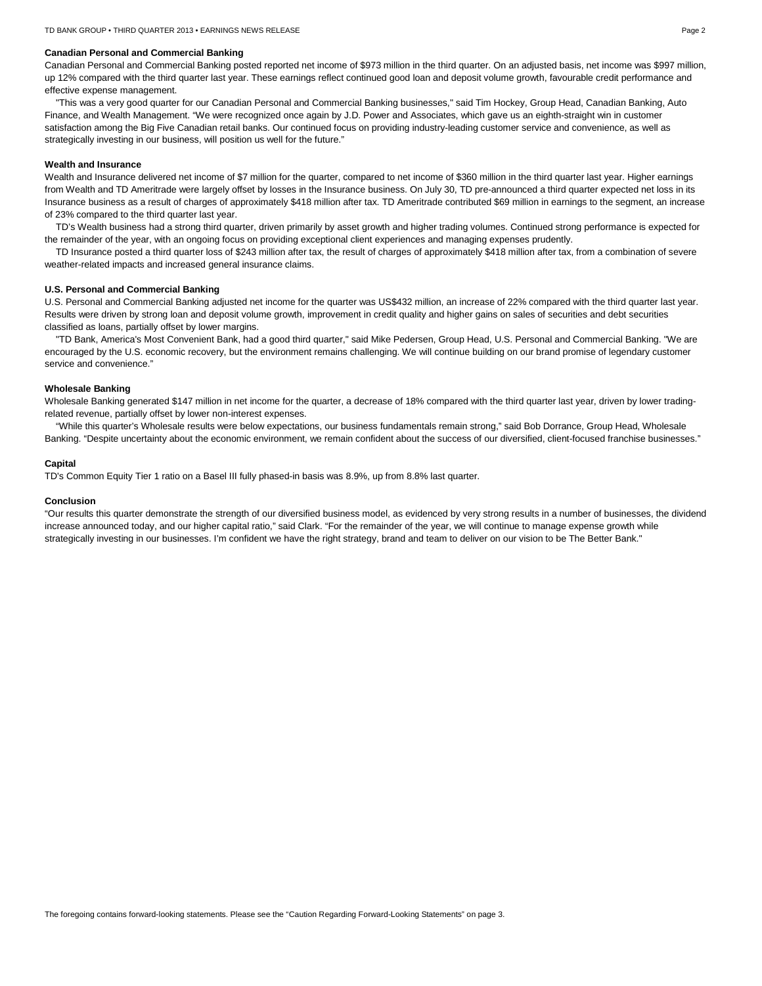# **Canadian Personal and Commercial Banking**

Canadian Personal and Commercial Banking posted reported net income of \$973 million in the third quarter. On an adjusted basis, net income was \$997 million, up 12% compared with the third quarter last year. These earnings reflect continued good loan and deposit volume growth, favourable credit performance and effective expense management.

"This was a very good quarter for our Canadian Personal and Commercial Banking businesses," said Tim Hockey, Group Head, Canadian Banking, Auto Finance, and Wealth Management. "We were recognized once again by J.D. Power and Associates, which gave us an eighth-straight win in customer satisfaction among the Big Five Canadian retail banks. Our continued focus on providing industry-leading customer service and convenience, as well as strategically investing in our business, will position us well for the future."

## **Wealth and Insurance**

Wealth and Insurance delivered net income of \$7 million for the quarter, compared to net income of \$360 million in the third quarter last year. Higher earnings from Wealth and TD Ameritrade were largely offset by losses in the Insurance business. On July 30, TD pre-announced a third quarter expected net loss in its Insurance business as a result of charges of approximately \$418 million after tax. TD Ameritrade contributed \$69 million in earnings to the segment, an increase of 23% compared to the third quarter last year.

TD's Wealth business had a strong third quarter, driven primarily by asset growth and higher trading volumes. Continued strong performance is expected for the remainder of the year, with an ongoing focus on providing exceptional client experiences and managing expenses prudently.

TD Insurance posted a third quarter loss of \$243 million after tax, the result of charges of approximately \$418 million after tax, from a combination of severe weather-related impacts and increased general insurance claims.

# **U.S. Personal and Commercial Banking**

U.S. Personal and Commercial Banking adjusted net income for the quarter was US\$432 million, an increase of 22% compared with the third quarter last year. Results were driven by strong loan and deposit volume growth, improvement in credit quality and higher gains on sales of securities and debt securities classified as loans, partially offset by lower margins.

"TD Bank, America's Most Convenient Bank, had a good third quarter," said Mike Pedersen, Group Head, U.S. Personal and Commercial Banking. "We are encouraged by the U.S. economic recovery, but the environment remains challenging. We will continue building on our brand promise of legendary customer service and convenience."

# **Wholesale Banking**

Wholesale Banking generated \$147 million in net income for the quarter, a decrease of 18% compared with the third quarter last year, driven by lower tradingrelated revenue, partially offset by lower non-interest expenses.

"While this quarter's Wholesale results were below expectations, our business fundamentals remain strong," said Bob Dorrance, Group Head, Wholesale Banking. "Despite uncertainty about the economic environment, we remain confident about the success of our diversified, client-focused franchise businesses."

## **Capital**

TD's Common Equity Tier 1 ratio on a Basel III fully phased-in basis was 8.9%, up from 8.8% last quarter.

#### **Conclusion**

"Our results this quarter demonstrate the strength of our diversified business model, as evidenced by very strong results in a number of businesses, the dividend increase announced today, and our higher capital ratio," said Clark. "For the remainder of the year, we will continue to manage expense growth while strategically investing in our businesses. I'm confident we have the right strategy, brand and team to deliver on our vision to be The Better Bank."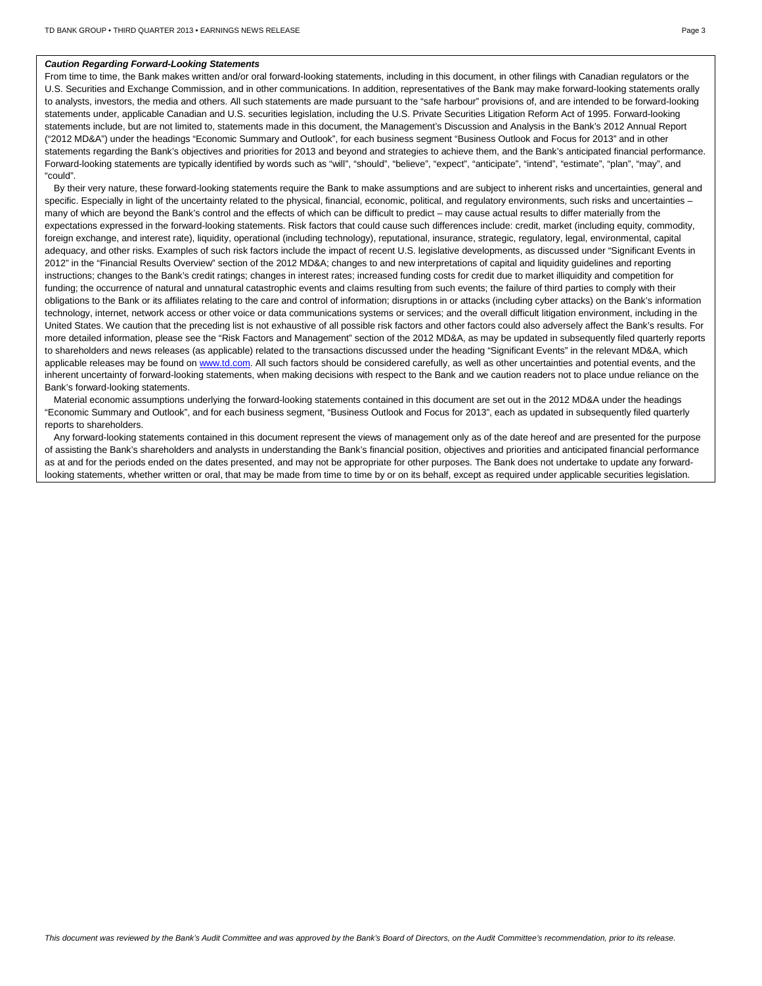#### *Caution Regarding Forward-Looking Statements*

From time to time, the Bank makes written and/or oral forward-looking statements, including in this document, in other filings with Canadian regulators or the U.S. Securities and Exchange Commission, and in other communications. In addition, representatives of the Bank may make forward-looking statements orally to analysts, investors, the media and others. All such statements are made pursuant to the "safe harbour" provisions of, and are intended to be forward-looking statements under, applicable Canadian and U.S. securities legislation, including the U.S. Private Securities Litigation Reform Act of 1995. Forward-looking statements include, but are not limited to, statements made in this document, the Management's Discussion and Analysis in the Bank's 2012 Annual Report ("2012 MD&A") under the headings "Economic Summary and Outlook", for each business segment "Business Outlook and Focus for 2013" and in other statements regarding the Bank's objectives and priorities for 2013 and beyond and strategies to achieve them, and the Bank's anticipated financial performance. Forward-looking statements are typically identified by words such as "will", "should", "believe", "expect", "anticipate", "intend", "estimate", "plan", "may", and "could".

By their very nature, these forward-looking statements require the Bank to make assumptions and are subject to inherent risks and uncertainties, general and specific. Especially in light of the uncertainty related to the physical, financial, economic, political, and regulatory environments, such risks and uncertainties many of which are beyond the Bank's control and the effects of which can be difficult to predict – may cause actual results to differ materially from the expectations expressed in the forward-looking statements. Risk factors that could cause such differences include: credit, market (including equity, commodity, foreign exchange, and interest rate), liquidity, operational (including technology), reputational, insurance, strategic, regulatory, legal, environmental, capital adequacy, and other risks. Examples of such risk factors include the impact of recent U.S. legislative developments, as discussed under "Significant Events in 2012" in the "Financial Results Overview" section of the 2012 MD&A; changes to and new interpretations of capital and liquidity guidelines and reporting instructions; changes to the Bank's credit ratings; changes in interest rates; increased funding costs for credit due to market illiquidity and competition for funding; the occurrence of natural and unnatural catastrophic events and claims resulting from such events; the failure of third parties to comply with their obligations to the Bank or its affiliates relating to the care and control of information; disruptions in or attacks (including cyber attacks) on the Bank's information technology, internet, network access or other voice or data communications systems or services; and the overall difficult litigation environment, including in the United States. We caution that the preceding list is not exhaustive of all possible risk factors and other factors could also adversely affect the Bank's results. For more detailed information, please see the "Risk Factors and Management" section of the 2012 MD&A, as may be updated in subsequently filed quarterly reports to shareholders and news releases (as applicable) related to the transactions discussed under the heading "Significant Events" in the relevant MD&A, which applicable releases may be found on www.td.com. All such factors should be considered carefully, as well as other uncertainties and potential events, and the inherent uncertainty of forward-looking statements, when making decisions with respect to the Bank and we caution readers not to place undue reliance on the Bank's forward-looking statements.

Material economic assumptions underlying the forward-looking statements contained in this document are set out in the 2012 MD&A under the headings "Economic Summary and Outlook", and for each business segment, "Business Outlook and Focus for 2013", each as updated in subsequently filed quarterly reports to shareholders.

Any forward-looking statements contained in this document represent the views of management only as of the date hereof and are presented for the purpose of assisting the Bank's shareholders and analysts in understanding the Bank's financial position, objectives and priorities and anticipated financial performance as at and for the periods ended on the dates presented, and may not be appropriate for other purposes. The Bank does not undertake to update any forwardlooking statements, whether written or oral, that may be made from time to time by or on its behalf, except as required under applicable securities legislation.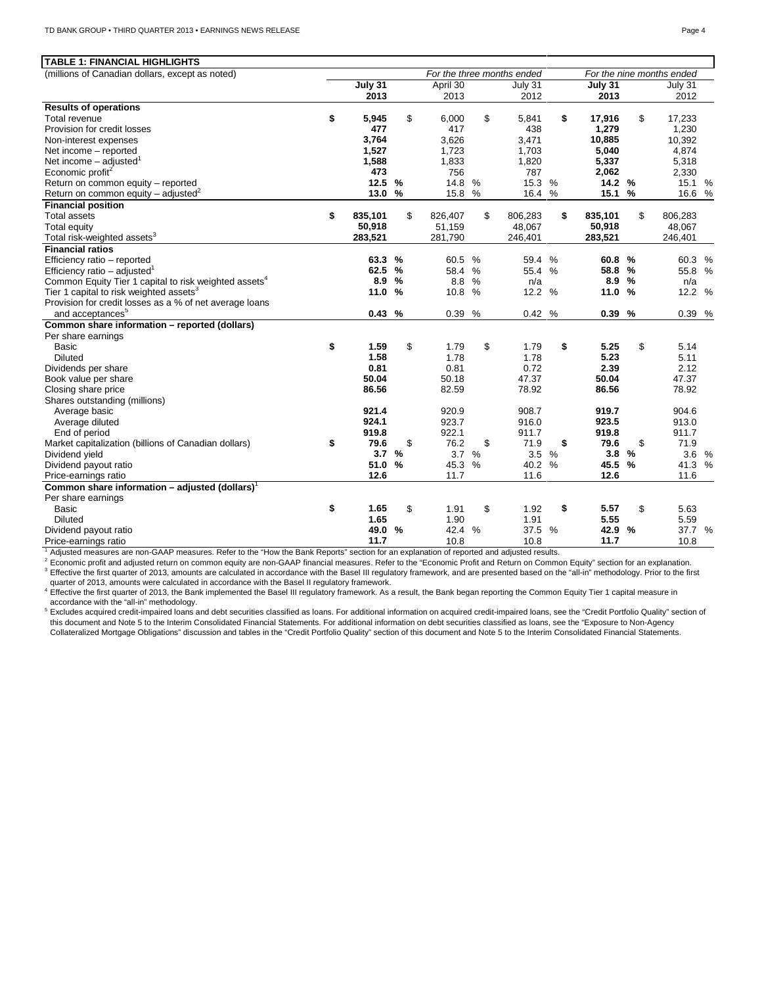| <b>TABLE 1: FINANCIAL HIGHLIGHTS</b>                              |               |               |          |      |                            |      |         |               |                           |  |
|-------------------------------------------------------------------|---------------|---------------|----------|------|----------------------------|------|---------|---------------|---------------------------|--|
| (millions of Canadian dollars, except as noted)                   |               |               |          |      | For the three months ended |      |         |               | For the nine months ended |  |
|                                                                   | $July$ 31     |               | April 30 |      | July 31                    |      | July 31 |               | July 31                   |  |
|                                                                   | 2013          |               | 2013     |      | 2012                       |      | 2013    |               | 2012                      |  |
| <b>Results of operations</b>                                      |               |               |          |      |                            |      |         |               |                           |  |
| Total revenue                                                     | \$<br>5,945   | \$            | 6,000    | \$   | 5,841                      | \$   | 17,916  | \$            | 17,233                    |  |
| Provision for credit losses                                       | 477           |               | 417      |      | 438                        |      | 1,279   |               | 1,230                     |  |
| Non-interest expenses                                             | 3,764         |               | 3,626    |      | 3,471                      |      | 10,885  |               | 10,392                    |  |
| Net income - reported                                             | 1,527         |               | 1,723    |      | 1,703                      |      | 5,040   |               | 4,874                     |  |
| Net income $-$ adjusted <sup>1</sup>                              | 1,588         |               | 1,833    |      | 1,820                      |      | 5,337   |               | 5,318                     |  |
| Economic profit <sup>2</sup>                                      | 473           |               | 756      |      | 787                        |      | 2,062   |               | 2,330                     |  |
| Return on common equity - reported                                | 12.5          | %             | 14.8     | %    | 15.3 %                     |      | 14.2 %  |               | 15.1 %                    |  |
| Return on common equity – adjusted <sup>2</sup>                   | 13.0          | %             | 15.8 %   |      | 16.4                       | %    | 15.1    | %             | 16.6 %                    |  |
| <b>Financial position</b>                                         |               |               |          |      |                            |      |         |               |                           |  |
| <b>Total assets</b>                                               | \$<br>835,101 | \$            | 826,407  | \$   | 806,283                    | \$   | 835,101 | \$            | 806,283                   |  |
| <b>Total equity</b>                                               | 50,918        |               | 51,159   |      | 48,067                     |      | 50,918  |               | 48,067                    |  |
| Total risk-weighted assets <sup>3</sup>                           | 283,521       |               | 281,790  |      | 246,401                    |      | 283,521 |               | 246,401                   |  |
| <b>Financial ratios</b>                                           |               |               |          |      |                            |      |         |               |                           |  |
| Efficiency ratio - reported                                       | 63.3          | $\%$          | 60.5 %   |      | 59.4                       | $\%$ | 60.8    | $\frac{0}{0}$ | 60.3 %                    |  |
| Efficiency ratio – adjusted <sup>1</sup>                          | 62.5          | $\frac{9}{6}$ | 58.4     | $\%$ | 55.4 %                     |      | 58.8    | %             | 55.8 %                    |  |
| Common Equity Tier 1 capital to risk weighted assets <sup>4</sup> | 8.9           | %             | 8.8 %    |      | n/a                        |      | 8.9     | %             | n/a                       |  |
| Tier 1 capital to risk weighted assets <sup>3</sup>               | 11.0          | %             | 10.8 %   |      | 12.2 %                     |      | 11.0    | %             | 12.2 %                    |  |
| Provision for credit losses as a % of net average loans           |               |               |          |      |                            |      |         |               |                           |  |
| and acceptances <sup>5</sup>                                      | 0.43%         |               | 0.39 %   |      | 0.42%                      |      | 0.39 %  |               | 0.39 %                    |  |
| Common share information - reported (dollars)                     |               |               |          |      |                            |      |         |               |                           |  |
| Per share earnings                                                |               |               |          |      |                            |      |         |               |                           |  |
| <b>Basic</b>                                                      | \$<br>1.59    | \$            | 1.79     | \$   | 1.79                       | \$   | 5.25    | \$            | 5.14                      |  |
| <b>Diluted</b>                                                    | 1.58          |               | 1.78     |      | 1.78                       |      | 5.23    |               | 5.11                      |  |
| Dividends per share                                               | 0.81          |               | 0.81     |      | 0.72                       |      | 2.39    |               | 2.12                      |  |
| Book value per share                                              | 50.04         |               | 50.18    |      | 47.37                      |      | 50.04   |               | 47.37                     |  |
| Closing share price                                               | 86.56         |               | 82.59    |      | 78.92                      |      | 86.56   |               | 78.92                     |  |
| Shares outstanding (millions)                                     |               |               |          |      |                            |      |         |               |                           |  |
| Average basic                                                     | 921.4         |               | 920.9    |      | 908.7                      |      | 919.7   |               | 904.6                     |  |
| Average diluted                                                   | 924.1         |               | 923.7    |      | 916.0                      |      | 923.5   |               | 913.0                     |  |
| End of period                                                     | 919.8         |               | 922.1    |      | 911.7                      |      | 919.8   |               | 911.7                     |  |
| Market capitalization (billions of Canadian dollars)              | \$<br>79.6    | \$            | 76.2     | \$   | 71.9                       | \$   | 79.6    | \$            | 71.9                      |  |
| Dividend yield                                                    | 3.7           | $\frac{9}{6}$ | 3.7      | $\%$ | 3.5%                       |      | 3.8     | $\frac{0}{0}$ | 3.6 %                     |  |
| Dividend payout ratio                                             | 51.0          | %             | 45.3 %   |      | 40.2 %                     |      | 45.5    | %             | 41.3 %                    |  |
| Price-earnings ratio                                              | 12.6          |               | 11.7     |      | 11.6                       |      | 12.6    |               | 11.6                      |  |
| Common share information - adjusted (dollars) <sup>1</sup>        |               |               |          |      |                            |      |         |               |                           |  |
| Per share earnings                                                |               |               |          |      |                            |      |         |               |                           |  |
| Basic                                                             | \$<br>1.65    | \$            | 1.91     | \$   | 1.92                       | \$   | 5.57    | \$            | 5.63                      |  |
| <b>Diluted</b>                                                    | 1.65          |               | 1.90     |      | 1.91                       |      | 5.55    |               | 5.59                      |  |
| Dividend payout ratio                                             | 49.0 %        |               | 42.4     | $\%$ | 37.5 %                     |      | 42.9    | %             | 37.7 %                    |  |
| Price-earnings ratio                                              | 11.7          |               | 10.8     |      | 10.8                       |      | 11.7    |               | 10.8                      |  |

<sup>1</sup> Adjusted measures are non-GAAP measures. Refer to the "How the Bank Reports" section for an explanation of reported and adjusted results.

<sup>2</sup> Economic profit and adjusted return on common equity are non-GAAP financial measures. Refer to the "Economic Profit and Return on Common Equity" section for an explanation.<br><sup>3</sup> Effective the first quarter of 2013, amou quarter of 2013, amounts were calculated in accordance with the Basel II regulatory framework.

<sup>4</sup> Effective the first quarter of 2013, the Bank implemented the Basel III regulatory framework. As a result, the Bank began reporting the Common Equity Tier 1 capital measure in accordance with the "all-in" methodology.

<sup>5</sup> Excludes acquired credit-impaired loans and debt securities classified as loans. For additional information on acquired credit-impaired loans, see the "Credit Portfolio Quality" section of this document and Note 5 to the Interim Consolidated Financial Statements. For additional information on debt securities classified as Ioans, see the "Exposure to Non-Agency<br>Collateralized Mortgage Obligations" discussion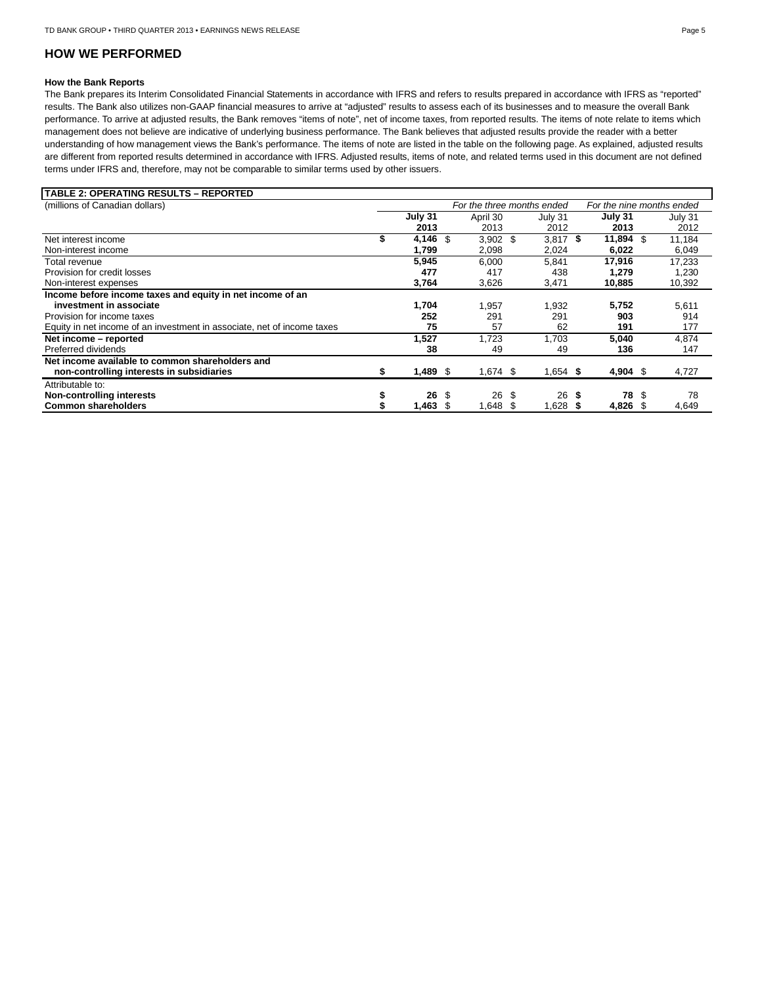# **HOW WE PERFORMED**

# **How the Bank Reports**

The Bank prepares its Interim Consolidated Financial Statements in accordance with IFRS and refers to results prepared in accordance with IFRS as "reported" results. The Bank also utilizes non-GAAP financial measures to arrive at "adjusted" results to assess each of its businesses and to measure the overall Bank performance. To arrive at adjusted results, the Bank removes "items of note", net of income taxes, from reported results. The items of note relate to items which management does not believe are indicative of underlying business performance. The Bank believes that adjusted results provide the reader with a better understanding of how management views the Bank's performance. The items of note are listed in the table on the following page. As explained, adjusted results are different from reported results determined in accordance with IFRS. Adjusted results, items of note, and related terms used in this document are not defined terms under IFRS and, therefore, may not be comparable to similar terms used by other issuers.

| TABLE 2: OPERATING RESULTS – REPORTED                                   |    |            |      |                            |            |                           |     |         |  |
|-------------------------------------------------------------------------|----|------------|------|----------------------------|------------|---------------------------|-----|---------|--|
| (millions of Canadian dollars)                                          |    |            |      | For the three months ended |            | For the nine months ended |     |         |  |
|                                                                         |    | July 31    |      | April 30                   | July 31    | July 31                   |     | July 31 |  |
|                                                                         |    | 2013       |      | 2013                       | 2012       | 2013                      |     | 2012    |  |
| Net interest income                                                     |    | 4,146      | - \$ | $3,902$ \$                 | $3,817$ \$ | 11,894                    | -\$ | 11,184  |  |
| Non-interest income                                                     |    | 1,799      |      | 2,098                      | 2,024      | 6,022                     |     | 6,049   |  |
| Total revenue                                                           |    | 5,945      |      | 6.000                      | 5.841      | 17,916                    |     | 17,233  |  |
| Provision for credit losses                                             |    | 477        |      | 417                        | 438        | 1,279                     |     | 1,230   |  |
| Non-interest expenses                                                   |    | 3,764      |      | 3,626                      | 3,471      | 10,885                    |     | 10,392  |  |
| Income before income taxes and equity in net income of an               |    |            |      |                            |            |                           |     |         |  |
| investment in associate                                                 |    | 1,704      |      | 1.957                      | 1,932      | 5,752                     |     | 5,611   |  |
| Provision for income taxes                                              |    | 252        |      | 291                        | 291        | 903                       |     | 914     |  |
| Equity in net income of an investment in associate, net of income taxes |    | 75         |      | 57                         | 62         | 191                       |     | 177     |  |
| Net income - reported                                                   |    | 1,527      |      | 1.723                      | 1.703      | 5,040                     |     | 4,874   |  |
| Preferred dividends                                                     |    | 38         |      | 49                         | 49         | 136                       |     | 147     |  |
| Net income available to common shareholders and                         |    |            |      |                            |            |                           |     |         |  |
| non-controlling interests in subsidiaries                               | æ. | $1,489$ \$ |      | $1,674$ \$                 | $1,654$ \$ | 4,904 \$                  |     | 4,727   |  |
| Attributable to:                                                        |    |            |      |                            |            |                           |     |         |  |
| Non-controlling interests                                               |    | 26         | \$   | 26 \$                      | $26$ \$    | 78                        | \$  | 78      |  |
| <b>Common shareholders</b>                                              |    | 1,463      | - \$ | 1,648 \$                   | 1,628      | 4,826                     |     | 4,649   |  |
|                                                                         |    |            |      |                            |            |                           |     |         |  |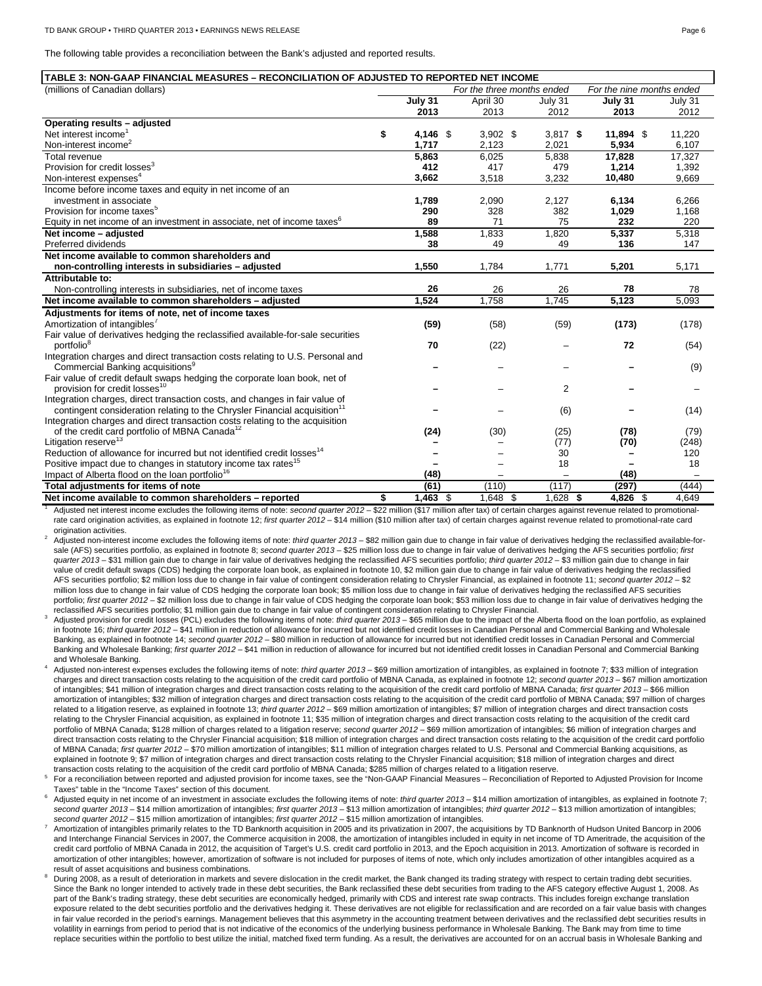The following table provides a reconciliation between the Bank's adjusted and reported results.

|  | TABLE 3: NON-GAAP FINANCIAL MEASURES – RECONCILIATION OF ADJUSTED TO REPORTED NET INCOME |
|--|------------------------------------------------------------------------------------------|
|--|------------------------------------------------------------------------------------------|

| (millions of Canadian dollars)                                                        |         |            |          |            | For the three months ended |                          | For the nine months ended |         |
|---------------------------------------------------------------------------------------|---------|------------|----------|------------|----------------------------|--------------------------|---------------------------|---------|
|                                                                                       | July 31 |            | April 30 |            | July 31                    |                          | July 31                   | July 31 |
|                                                                                       |         | 2013       | 2013     |            |                            | 2012                     | 2013                      | 2012    |
| Operating results - adjusted                                                          |         |            |          |            |                            |                          |                           |         |
| Net interest income <sup>1</sup>                                                      | \$      | 4,146 \$   |          | $3,902$ \$ |                            | $3,817$ \$               | $11,894$ \$               | 11,220  |
| Non-interest income <sup>2</sup>                                                      |         | 1.717      | 2,123    |            | 2,021                      |                          | 5,934                     | 6,107   |
| Total revenue                                                                         |         | 5,863      | 6,025    |            | 5,838                      |                          | 17,828                    | 17,327  |
| Provision for credit losses <sup>3</sup>                                              |         | 412        |          | 417        |                            | 479                      | 1,214                     | 1,392   |
| Non-interest expenses <sup>4</sup>                                                    |         | 3,662      | 3,518    |            | 3,232                      |                          | 10,480                    | 9,669   |
| Income before income taxes and equity in net income of an                             |         |            |          |            |                            |                          |                           |         |
| investment in associate                                                               |         | 1,789      | 2,090    |            | 2,127                      |                          | 6,134                     | 6,266   |
| Provision for income taxes <sup>5</sup>                                               |         | 290        |          | 328        |                            | 382                      | 1,029                     | 1,168   |
| Equity in net income of an investment in associate, net of income taxes <sup>6</sup>  |         | 89         |          | 71         |                            | 75                       | 232                       | 220     |
| Net income - adjusted                                                                 |         | 1,588      | 1,833    |            | 1,820                      |                          | 5,337                     | 5,318   |
| Preferred dividends                                                                   |         | 38         |          | 49         |                            | 49                       | 136                       | 147     |
| Net income available to common shareholders and                                       |         |            |          |            |                            |                          |                           |         |
| non-controlling interests in subsidiaries - adjusted                                  |         | 1,550      | 1.784    |            | 1,771                      |                          | 5,201                     | 5,171   |
| Attributable to:                                                                      |         |            |          |            |                            |                          |                           |         |
| Non-controlling interests in subsidiaries, net of income taxes                        |         | 26         |          | 26         |                            | 26                       | 78                        | 78      |
| Net income available to common shareholders - adjusted                                |         | 1.524      | 1,758    |            | 1.745                      |                          | 5,123                     | 5,093   |
| Adjustments for items of note, net of income taxes                                    |         |            |          |            |                            |                          |                           |         |
| Amortization of intangibles <sup>'</sup>                                              |         | (59)       |          | (58)       |                            | (59)                     | (173)                     | (178)   |
| Fair value of derivatives hedging the reclassified available-for-sale securities      |         |            |          |            |                            |                          |                           |         |
| portfolio <sup>8</sup>                                                                |         | 70         |          | (22)       |                            |                          | 72                        | (54)    |
| Integration charges and direct transaction costs relating to U.S. Personal and        |         |            |          |            |                            |                          |                           |         |
| Commercial Banking acquisitions <sup>9</sup>                                          |         |            |          |            |                            |                          |                           | (9)     |
| Fair value of credit default swaps hedging the corporate loan book, net of            |         |            |          |            |                            |                          |                           |         |
| provision for credit losses <sup>10</sup>                                             |         |            |          |            |                            | 2                        |                           |         |
| Integration charges, direct transaction costs, and changes in fair value of           |         |            |          |            |                            |                          |                           |         |
| contingent consideration relating to the Chrysler Financial acquisition <sup>11</sup> |         |            |          |            |                            | (6)                      |                           | (14)    |
| Integration charges and direct transaction costs relating to the acquisition          |         |            |          |            |                            |                          |                           |         |
| of the credit card portfolio of MBNA Canada <sup>12</sup>                             |         | (24)       |          | (30)       |                            | (25)                     | (78)                      | (79)    |
| Litigation reserve <sup>13</sup>                                                      |         |            |          |            |                            | (77)                     | (70)                      | (248)   |
| Reduction of allowance for incurred but not identified credit losses <sup>14</sup>    |         |            |          |            |                            | 30                       |                           | 120     |
| Positive impact due to changes in statutory income tax rates <sup>15</sup>            |         |            |          |            |                            | 18                       |                           | 18      |
| Impact of Alberta flood on the loan portfolio <sup>16</sup>                           |         | (48)       |          |            |                            | $\overline{\phantom{0}}$ | (48)                      |         |
| Total adjustments for items of note                                                   |         | (61)       |          | (110)      |                            | (117)                    | (297)                     | (444)   |
| Net income available to common shareholders - reported                                | \$      | $1,463$ \$ |          | 1.648 \$   |                            | $1.628$ \$               | 4,826 \$                  | 4.649   |

Adjusted net interest income excludes the following items of note: *second quarter 2012 –* \$22 million (\$17 million after tax) of certain charges against revenue related to promotionalrate card origination activities, as explained in footnote 12; *first quarter 2012* – \$14 million (\$10 million after tax) of certain charges against revenue related to promotional-rate card origination activities.

<sup>2</sup> Adjusted non-interest income excludes the following items of note: *third quarter 2013* – \$82 million gain due to change in fair value of derivatives hedging the reclassified available-forsale (AFS) securities portfolio, as explained in footnote 8; *second quarter 2013* – \$25 million loss due to change in fair value of derivatives hedging the AFS securities portfolio; *first quarter 2013* – \$31 million gain due to change in fair value of derivatives hedging the reclassified AFS securities portfolio; *third quarter 2012 –* \$3 million gain due to change in fair value of credit default swaps (CDS) hedging the corporate loan book, as explained in footnote 10, \$2 million gain due to change in fair value of derivatives hedging the reclassified AFS securities portfolio; \$2 million loss due to change in fair value of contingent consideration relating to Chrysler Financial, as explained in footnote 11; *second quarter 2012 –* \$2 million loss due to change in fair value of CDS hedging the corporate loan book; \$5 million loss due to change in fair value of derivatives hedging the reclassified AFS securities portfolio; first quarter 2012 - \$2 million loss due to change in fair value of CDS hedging the corporate loan book; \$53 million loss due to change in fair value of derivatives hedging the reclassified AFS securities portfolio; \$1 million gain due to change in fair value of contingent consideration relating to Chrysler Financial.

<sup>3</sup> Adjusted provision for credit losses (PCL) excludes the following items of note: *third quarter 2013* – \$65 million due to the impact of the Alberta flood on the loan portfolio, as explained in footnote 16; *third quarter 2012* – \$41 million in reduction of allowance for incurred but not identified credit losses in Canadian Personal and Commercial Banking and Wholesale Banking, as explained in footnote 14; *second quarter 2012* - \$80 million in reduction of allowance for incurred but not identified credit losses in Canadian Personal and Commercial Banking and Wholesale Banking; *first quarter 2012* – \$41 million in reduction of allowance for incurred but not identified credit losses in Canadian Personal and Commercial Banking and Wholesale Banking.

<sup>4</sup> Adjusted non-interest expenses excludes the following items of note: *third quarter 2013* – \$69 million amortization of intangibles, as explained in footnote 7; \$33 million of integration charges and direct transaction costs relating to the acquisition of the credit card portfolio of MBNA Canada, as explained in footnote 12; *second quarter 2013* – \$67 million amortization of intangibles; \$41 million of integration charges and direct transaction costs relating to the acquisition of the credit card portfolio of MBNA Canada; *first quarter 2013* – \$66 million amortization of intangibles; \$32 million of integration charges and direct transaction costs relating to the acquisition of the credit card portfolio of MBNA Canada; \$97 million of charges related to a litigation reserve, as explained in footnote 13; *third quarter 2012* – \$69 million amortization of intangibles; \$7 million of integration charges and direct transaction costs relating to the Chrysler Financial acquisition, as explained in footnote 11; \$35 million of integration charges and direct transaction costs relating to the acquisition of the credit card portfolio of MBNA Canada; \$128 million of charges related to a litigation reserve; *second quarter 2012* - \$69 million amortization of intangibles; \$6 million of integration charges and direct transaction costs relating to the Chrysler Financial acquisition; \$18 million of integration charges and direct transaction costs relating to the acquisition of the credit card portfolio of MBNA Canada; *first quarter 2012* – \$70 million amortization of intangibles; \$11 million of integration charges related to U.S. Personal and Commercial Banking acquisitions, as explained in footnote 9; \$7 million of integration charges and direct transaction costs relating to the Chrysler Financial acquisition; \$18 million of integration charges and direct transaction costs relating to the acquisition of the credit card portfolio of MBNA Canada; \$285 million of charges related to a litigation reserve.

<sup>5</sup> For a reconciliation between reported and adjusted provision for income taxes, see the "Non-GAAP Financial Measures – Reconciliation of Reported to Adjusted Provision for Income Taxes" table in the "Income Taxes" section of this document.

<sup>6</sup> Adjusted equity in net income of an investment in associate excludes the following items of note: *third quarter* 2013 - \$14 million amortization of intangibles, as explained in footnote 7; *second quarter 2013 –* \$14 million amortization of intangibles; *first quarter 2013 –* \$13 million amortization of intangibles; *third quarter 2012* – \$13 million amortization of intangibles; *second quarter 2012* – \$15 million amortization of intangibles; *first quarter 2012* – \$15 million amortization of intangibles.

- 7 Amortization of intangibles primarily relates to the TD Banknorth acquisition in 2005 and its privatization in 2007, the acquisitions by TD Banknorth of Hudson United Bancorp in 2006 and Interchange Financial Services in 2007, the Commerce acquisition in 2008, the amortization of intangibles included in equity in net income of TD Ameritrade, the acquisition of the credit card portfolio of MBNA Canada in 2012, the acquisition of Target's U.S. credit card portfolio in 2013, and the Epoch acquisition in 2013. Amortization of software is recorded in amortization of other intangibles; however, amortization of software is not included for purposes of items of note, which only includes amortization of other intangibles acquired as a result of asset acquisitions and business combinations.
- During 2008, as a result of deterioration in markets and severe dislocation in the credit market, the Bank changed its trading strategy with respect to certain trading debt securities. Since the Bank no longer intended to actively trade in these debt securities, the Bank reclassified these debt securities from trading to the AFS category effective August 1, 2008. As part of the Bank's trading strategy, these debt securities are economically hedged, primarily with CDS and interest rate swap contracts. This includes foreign exchange translation exposure related to the debt securities portfolio and the derivatives hedging it. These derivatives are not eligible for reclassification and are recorded on a fair value basis with changes in fair value recorded in the period's earnings. Management believes that this asymmetry in the accounting treatment between derivatives and the reclassified debt securities results in volatility in earnings from period to period that is not indicative of the economics of the underlying business performance in Wholesale Banking. The Bank may from time to time replace securities within the portfolio to best utilize the initial, matched fixed term funding. As a result, the derivatives are accounted for on an accrual basis in Wholesale Banking and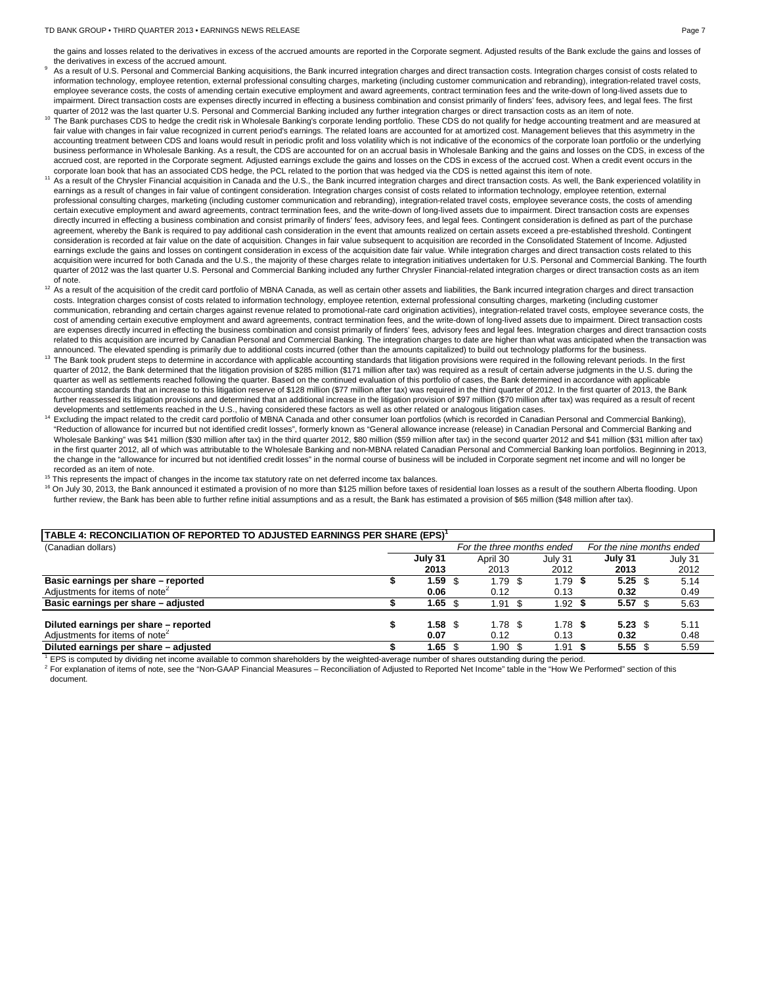#### TD BANK GROUP • THIRD QUARTER 2013 • EARNINGS NEWS RELEASE PAGE 7 ACCORD AND RAILY ASSESSED FOR A RAILY PAGE 7

the gains and losses related to the derivatives in excess of the accrued amounts are reported in the Corporate segment. Adjusted results of the Bank exclude the gains and losses of the derivatives in excess of the accrued amount.

- As a result of U.S. Personal and Commercial Banking acquisitions, the Bank incurred integration charges and direct transaction costs. Integration charges consist of costs related to information technology, employee retention, external professional consulting charges, marketing (including customer communication and rebranding), integration-related travel costs, employee severance costs, the costs of amending certain executive employment and award agreements, contract termination fees and the write-down of long-lived assets due to impairment. Direct transaction costs are expenses directly incurred in effecting a business combination and consist primarily of finders' fees, advisory fees, and legal fees. The first quarter of 2012 was the last quarter U.S. Personal and Commercial Banking included any further integration charges or direct transaction costs as an item of note
- $^{10}$  The Bank purchases CDS to hedge the credit risk in Wholesale Banking's corporate lending portfolio. These CDS do not qualify for hedge accounting treatment and are measured at  $^{10}$  The Bank purchases CDS do not q fair value with changes in fair value recognized in current period's earnings. The related loans are accounted for at amortized cost. Management believes that this asymmetry in the accounting treatment between CDS and loans would result in periodic profit and loss volatility which is not indicative of the economics of the corporate loan portfolio or the underlying business performance in Wholesale Banking. As a result, the CDS are accounted for on an accrual basis in Wholesale Banking and the gains and losses on the CDS, in excess of the accrued cost, are reported in the Corporate segment. Adjusted earnings exclude the gains and losses on the CDS in excess of the accrued cost. When a credit event occurs in the corporate loan book that has an associated CDS
- <sup>11</sup> As a result of the Chrysler Financial acquisition in Canada and the U.S., the Bank incurred integration charges and direct transaction costs. As well, the Bank experienced volatility in earnings as a result of changes in fair value of contingent consideration. Integration charges consist of costs related to information technology, employee retention, external professional consulting charges, marketing (including customer communication and rebranding), integration-related travel costs, employee severance costs, the costs of amending certain executive employment and award agreements, contract termination fees, and the write-down of long-lived assets due to impairment. Direct transaction costs are expenses directly incurred in effecting a business combination and consist primarily of finders' fees, advisory fees, and legal fees. Contingent consideration is defined as part of the purchase agreement, whereby the Bank is required to pay additional cash consideration in the event that amounts realized on certain assets exceed a pre-established threshold. Contingent consideration is recorded at fair value on the date of acquisition. Changes in fair value subsequent to acquisition are recorded in the Consolidated Statement of Income. Adjusted earnings exclude the gains and losses on contingent consideration in excess of the acquisition date fair value. While integration charges and direct transaction costs related to this acquisition were incurred for both Canada and the U.S., the majority of these charges relate to integration initiatives undertaken for U.S. Personal and Commercial Banking. The fourth quarter of 2012 was the last quarter U.S. Personal and Commercial Banking included any further Chrysler Financial-related integration charges or direct transaction costs as an item of note.
- $12$  As a result of the acquisition of the credit card portfolio of MBNA Canada, as well as certain other assets and liabilities, the Bank incurred integration charges and direct transaction costs. Integration charges consist of costs related to information technology, employee retention, external professional consulting charges, marketing (including customer communication, rebranding and certain charges against revenue related to promotional-rate card origination activities), integration-related travel costs, employee severance costs, the cost of amending certain executive employment and award agreements, contract termination fees, and the write-down of long-lived assets due to impairment. Direct transaction costs are expenses directly incurred in effecting the business combination and consist primarily of finders' fees, advisory fees and legal fees. Integration charges and direct transaction costs related to this acquisition are incurred by Canadian Personal and Commercial Banking. The integration charges to date are higher than what was anticipated when the transaction was
- announced. The elevated spending is primarily due to additional costs incurred (other than the amounts capitalized) to build out technology platforms for the business. <sup>13</sup> The Bank took prudent steps to determine in accordance with applicable accounting standards that litigation provisions were required in the following relevant periods. In the first quarter of 2012, the Bank determined that the litigation provision of \$285 million (\$171 million after tax) was required as a result of certain adverse judgments in the U.S. during the quarter as well as settlements reached following the quarter. Based on the continued evaluation of this portfolio of cases, the Bank determined in accordance with applicable accounting standards that an increase to this litigation reserve of \$128 million (\$77 million after tax) was required in the third quarter of 2012. In the first quarter of 2013, the Bank further reassessed its litigation provisions and determined that an additional increase in the litigation provision of \$97 million (\$70 million after tax) was required as a result of recent developments and settlements reached in the U.S., having considered these factors as well as other related or analogous litigation cases.
- <sup>14</sup> Excluding the impact related to the credit card portfolio of MBNA Canada and other consumer loan portfolios (which is recorded in Canadian Personal and Commercial Banking), "Reduction of allowance for incurred but not identified credit losses", formerly known as "General allowance increase (release) in Canadian Personal and Commercial Banking and Wholesale Banking" was \$41 million (\$30 million after tax) in the third quarter 2012, \$80 million (\$59 million after tax) in the second quarter 2012 and \$41 million (\$31 million after tax) in the first quarter 2012, all of which was attributable to the Wholesale Banking and non-MBNA related Canadian Personal and Commercial Banking loan portfolios. Beginning in 2013, the change in the "allowance for incurred but not identified credit losses" in the normal course of business will be included in Corporate segment net income and will no longer be recorded as an item of note.
- <sup>15</sup> This represents the impact of changes in the income tax statutory rate on net deferred income tax balances.
- <sup>16</sup> On July 30, 2013, the Bank announced it estimated a provision of no more than \$125 million before taxes of residential loan losses as a result of the southern Alberta flooding. Upon further review, the Bank has been able to further refine initial assumptions and as a result, the Bank has estimated a provision of \$65 million (\$48 million after tax).

| TABLE 4: RECONCILIATION OF REPORTED TO ADJUSTED EARNINGS PER SHARE (EPS) <sup>1</sup> |                                                         |         |  |           |  |           |  |                   |  |         |  |
|---------------------------------------------------------------------------------------|---------------------------------------------------------|---------|--|-----------|--|-----------|--|-------------------|--|---------|--|
| (Canadian dollars)                                                                    | For the nine months ended<br>For the three months ended |         |  |           |  |           |  |                   |  |         |  |
|                                                                                       |                                                         | July 31 |  | April 30  |  | July 31   |  | July 31           |  | July 31 |  |
|                                                                                       |                                                         | 2013    |  | 2013      |  | 2012      |  | 2013              |  | 2012    |  |
| Basic earnings per share - reported                                                   |                                                         | 59. ا   |  | $1.79$ \$ |  | 1.79      |  | $5.25 \text{ } $$ |  | 5.14    |  |
| Adjustments for items of note <sup>2</sup>                                            |                                                         | 0.06    |  | 0.12      |  | 0.13      |  | 0.32              |  | 0.49    |  |
| Basic earnings per share - adjusted                                                   |                                                         | 1.65    |  | 1.91      |  | 1.92      |  | $5.57$ \$         |  | 5.63    |  |
| Diluted earnings per share - reported                                                 |                                                         | 1.58    |  | $1.78$ \$ |  | $1.78$ \$ |  | $5.23~\text{\AA}$ |  | 5.11    |  |
| Adjustments for items of note <sup>2</sup>                                            |                                                         | 0.07    |  | 0.12      |  | 0.13      |  | 0.32              |  | 0.48    |  |
| Diluted earnings per share - adjusted                                                 |                                                         | 1.65    |  | 1.90 \$   |  | 1.91      |  | 5.55~\$           |  | 5.59    |  |

<sup>1</sup> EPS is computed by dividing net income available to common shareholders by the weighted-average number of shares outstanding during the period.

<sup>2</sup> For explanation of items of note, see the "Non-GAAP Financial Measures – Reconciliation of Adjusted to Reported Net Income" table in the "How We Performed" section of this document.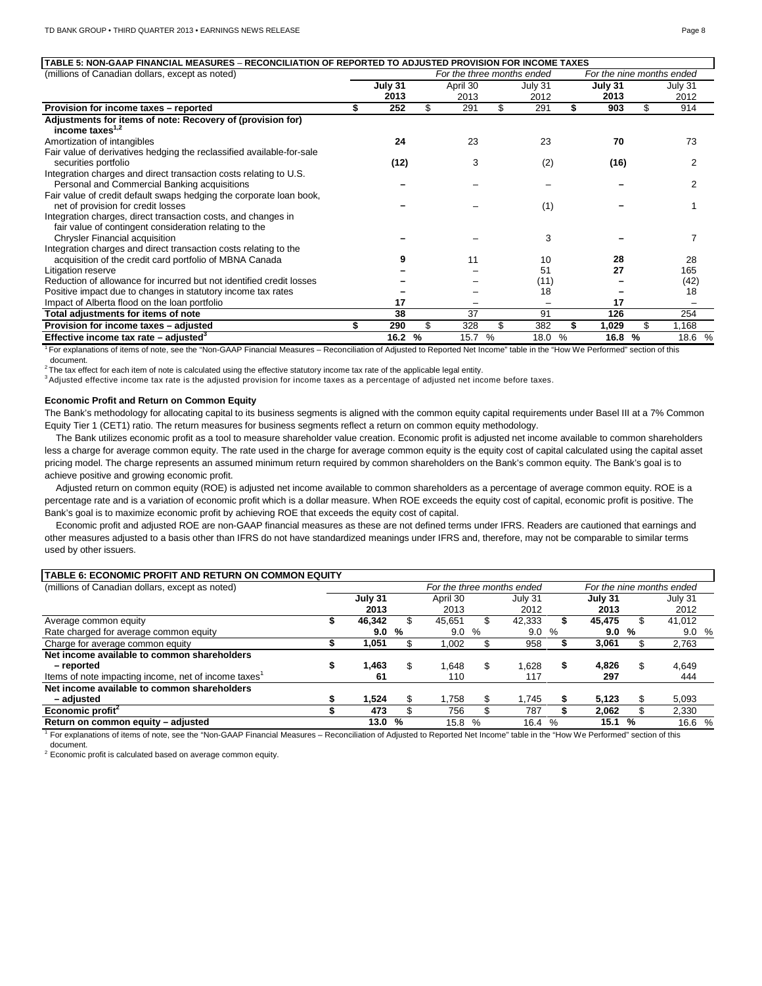| TABLE 5: NON-GAAP FINANCIAL MEASURES – RECONCILIATION OF REPORTED TO ADJUSTED PROVISION FOR INCOME TAXES<br>(millions of Canadian dollars, except as noted) |         |     | For the three months ended |     |                 |    | For the nine months ended |     |         |  |
|-------------------------------------------------------------------------------------------------------------------------------------------------------------|---------|-----|----------------------------|-----|-----------------|----|---------------------------|-----|---------|--|
|                                                                                                                                                             | July 31 |     | April 30                   |     | July 31         |    | July 31                   |     | July 31 |  |
|                                                                                                                                                             | 2013    |     | 2013                       |     | 2012            |    | 2013                      |     | 2012    |  |
| Provision for income taxes - reported                                                                                                                       | 252     | \$  | 291                        | \$  | 291             |    | 903                       | \$  | 914     |  |
| Adjustments for items of note: Recovery of (provision for)<br>income taxes $1,2$                                                                            |         |     |                            |     |                 |    |                           |     |         |  |
| Amortization of intangibles                                                                                                                                 | 24      |     | 23                         |     | 23              |    | 70                        |     | 73      |  |
| Fair value of derivatives hedging the reclassified available-for-sale                                                                                       |         |     |                            |     |                 |    |                           |     |         |  |
| securities portfolio                                                                                                                                        | (12)    |     | 3                          |     | (2)             |    | (16)                      |     | 2       |  |
| Integration charges and direct transaction costs relating to U.S.                                                                                           |         |     |                            |     |                 |    |                           |     |         |  |
| Personal and Commercial Banking acquisitions                                                                                                                |         |     |                            |     |                 |    |                           |     | 2       |  |
| Fair value of credit default swaps hedging the corporate loan book,                                                                                         |         |     |                            |     |                 |    |                           |     |         |  |
| net of provision for credit losses                                                                                                                          |         |     |                            |     | (1)             |    |                           |     |         |  |
| Integration charges, direct transaction costs, and changes in                                                                                               |         |     |                            |     |                 |    |                           |     |         |  |
| fair value of contingent consideration relating to the                                                                                                      |         |     |                            |     |                 |    |                           |     |         |  |
| Chrysler Financial acquisition                                                                                                                              |         |     |                            |     | 3               |    |                           |     |         |  |
| Integration charges and direct transaction costs relating to the                                                                                            |         |     |                            |     |                 |    |                           |     |         |  |
| acquisition of the credit card portfolio of MBNA Canada                                                                                                     |         |     | 11                         |     | 10              |    | 28                        |     | 28      |  |
| Litigation reserve                                                                                                                                          |         |     |                            |     | 51              |    | 27                        |     | 165     |  |
| Reduction of allowance for incurred but not identified credit losses                                                                                        |         |     |                            |     | (11)            |    |                           |     | (42)    |  |
| Positive impact due to changes in statutory income tax rates                                                                                                |         |     |                            |     | 18              |    |                           |     | 18      |  |
| Impact of Alberta flood on the loan portfolio                                                                                                               | 17      |     |                            |     | $\qquad \qquad$ |    | 17                        |     |         |  |
| Total adjustments for items of note                                                                                                                         | 38      |     | 37                         |     | 91              |    | 126                       |     | 254     |  |
| Provision for income taxes - adjusted                                                                                                                       | 290     | \$. | 328                        | \$. | 382             | \$ | 1,029                     | \$. | 1,168   |  |
| Effective income tax rate $-$ adjusted <sup>3</sup>                                                                                                         | 16.2 %  |     | 15.7                       | %   | 18.0            | %  | 16.8                      | %   | 18.6 %  |  |

1 For explanations of items of note, see the "Non-GAAP Financial Measures – Reconciliation of Adjusted to Reported Net Income" table in the "How We Performed" section of this document.

 $2$  The tax effect for each item of note is calculated using the effective statutory income tax rate of the applicable legal entity.

<sup>3</sup>Adjusted effective income tax rate is the adjusted provision for income taxes as a percentage of adjusted net income before taxes.

# **Economic Profit and Return on Common Equity**

The Bank's methodology for allocating capital to its business segments is aligned with the common equity capital requirements under Basel III at a 7% Common Equity Tier 1 (CET1) ratio. The return measures for business segments reflect a return on common equity methodology.

The Bank utilizes economic profit as a tool to measure shareholder value creation. Economic profit is adjusted net income available to common shareholders less a charge for average common equity. The rate used in the charge for average common equity is the equity cost of capital calculated using the capital asset pricing model. The charge represents an assumed minimum return required by common shareholders on the Bank's common equity. The Bank's goal is to achieve positive and growing economic profit.

Adjusted return on common equity (ROE) is adjusted net income available to common shareholders as a percentage of average common equity. ROE is a percentage rate and is a variation of economic profit which is a dollar measure. When ROE exceeds the equity cost of capital, economic profit is positive. The Bank's goal is to maximize economic profit by achieving ROE that exceeds the equity cost of capital.

Economic profit and adjusted ROE are non-GAAP financial measures as these are not defined terms under IFRS. Readers are cautioned that earnings and other measures adjusted to a basis other than IFRS do not have standardized meanings under IFRS and, therefore, may not be comparable to similar terms used by other issuers.

# **TABLE 6: ECONOMIC PROFIT AND RETURN ON COMMON EQUITY**

| (millions of Canadian dollars, except as noted)                  |         |    |          |   | For the three months ended |      |         |    | For the nine months ended |
|------------------------------------------------------------------|---------|----|----------|---|----------------------------|------|---------|----|---------------------------|
|                                                                  | July 31 |    | April 30 |   | July 31                    |      | July 31 |    | July 31                   |
|                                                                  | 2013    |    | 2013     |   | 2012                       |      | 2013    |    | 2012                      |
| Average common equity                                            | 46.342  |    | 45.651   |   | 42.333                     |      | 45.475  |    | 41,012                    |
| Rate charged for average common equity                           | 9.0     | %  | 9.0      | % | 9.0                        | %    | 9.0     | %  | 9.0%                      |
| Charge for average common equity                                 | 1.051   |    | ,002     |   | 958                        |      | 3,061   |    | 2,763                     |
| Net income available to common shareholders                      |         |    |          |   |                            |      |         |    |                           |
| - reported                                                       | ,463    | \$ | .648     | S | 1.628                      | S    | 4,826   | \$ | 4,649                     |
| Items of note impacting income, net of income taxes <sup>1</sup> | 61      |    | 110      |   | 117                        |      | 297     |    | 444                       |
| Net income available to common shareholders                      |         |    |          |   |                            |      |         |    |                           |
| - adiusted                                                       | 1.524   |    | .758     |   | .745                       |      | 5.123   |    | 5,093                     |
| Economic profit <sup>2</sup>                                     | 473     |    | 756      |   | 787                        |      | 2.062   |    | 2,330                     |
| Return on common equity - adjusted                               | 13.0    | %  | 15.8     | % | 16.4                       | $\%$ | 15.1    | %  | 16.6 %                    |

<sup>1</sup> For explanations of items of note, see the "Non-GAAP Financial Measures – Reconciliation of Adjusted to Reported Net Income" table in the "How We Performed" section of this document.

 $2$  Economic profit is calculated based on average common equity.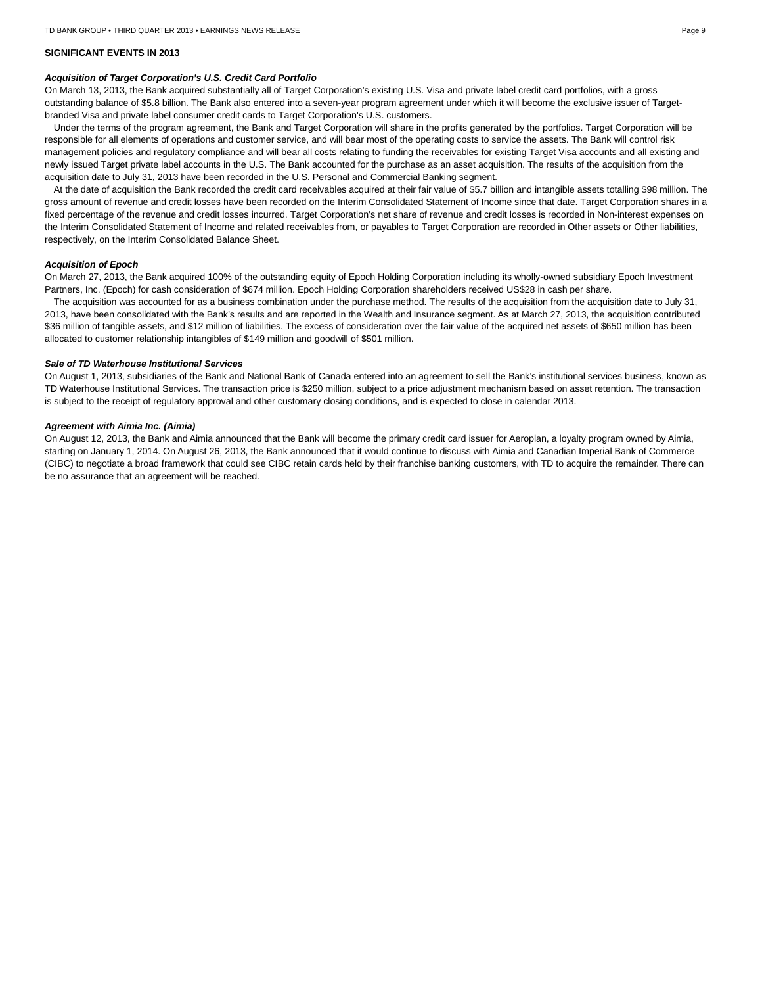## **SIGNIFICANT EVENTS IN 2013**

#### *Acquisition of Target Corporation's U.S. Credit Card Portfolio*

On March 13, 2013, the Bank acquired substantially all of Target Corporation's existing U.S. Visa and private label credit card portfolios, with a gross outstanding balance of \$5.8 billion. The Bank also entered into a seven-year program agreement under which it will become the exclusive issuer of Targetbranded Visa and private label consumer credit cards to Target Corporation's U.S. customers.

Under the terms of the program agreement, the Bank and Target Corporation will share in the profits generated by the portfolios. Target Corporation will be responsible for all elements of operations and customer service, and will bear most of the operating costs to service the assets. The Bank will control risk management policies and regulatory compliance and will bear all costs relating to funding the receivables for existing Target Visa accounts and all existing and newly issued Target private label accounts in the U.S. The Bank accounted for the purchase as an asset acquisition. The results of the acquisition from the acquisition date to July 31, 2013 have been recorded in the U.S. Personal and Commercial Banking segment.

At the date of acquisition the Bank recorded the credit card receivables acquired at their fair value of \$5.7 billion and intangible assets totalling \$98 million. The gross amount of revenue and credit losses have been recorded on the Interim Consolidated Statement of Income since that date. Target Corporation shares in a fixed percentage of the revenue and credit losses incurred. Target Corporation's net share of revenue and credit losses is recorded in Non-interest expenses on the Interim Consolidated Statement of Income and related receivables from, or payables to Target Corporation are recorded in Other assets or Other liabilities, respectively, on the Interim Consolidated Balance Sheet.

#### *Acquisition of Epoch*

On March 27, 2013, the Bank acquired 100% of the outstanding equity of Epoch Holding Corporation including its wholly-owned subsidiary Epoch Investment Partners, Inc. (Epoch) for cash consideration of \$674 million. Epoch Holding Corporation shareholders received US\$28 in cash per share.

The acquisition was accounted for as a business combination under the purchase method. The results of the acquisition from the acquisition date to July 31, 2013, have been consolidated with the Bank's results and are reported in the Wealth and Insurance segment. As at March 27, 2013, the acquisition contributed \$36 million of tangible assets, and \$12 million of liabilities. The excess of consideration over the fair value of the acquired net assets of \$650 million has been allocated to customer relationship intangibles of \$149 million and goodwill of \$501 million.

#### *Sale of TD Waterhouse Institutional Services*

On August 1, 2013, subsidiaries of the Bank and National Bank of Canada entered into an agreement to sell the Bank's institutional services business, known as TD Waterhouse Institutional Services. The transaction price is \$250 million, subject to a price adjustment mechanism based on asset retention. The transaction is subject to the receipt of regulatory approval and other customary closing conditions, and is expected to close in calendar 2013.

#### *Agreement with Aimia Inc. (Aimia)*

On August 12, 2013, the Bank and Aimia announced that the Bank will become the primary credit card issuer for Aeroplan, a loyalty program owned by Aimia, starting on January 1, 2014. On August 26, 2013, the Bank announced that it would continue to discuss with Aimia and Canadian Imperial Bank of Commerce (CIBC) to negotiate a broad framework that could see CIBC retain cards held by their franchise banking customers, with TD to acquire the remainder. There can be no assurance that an agreement will be reached.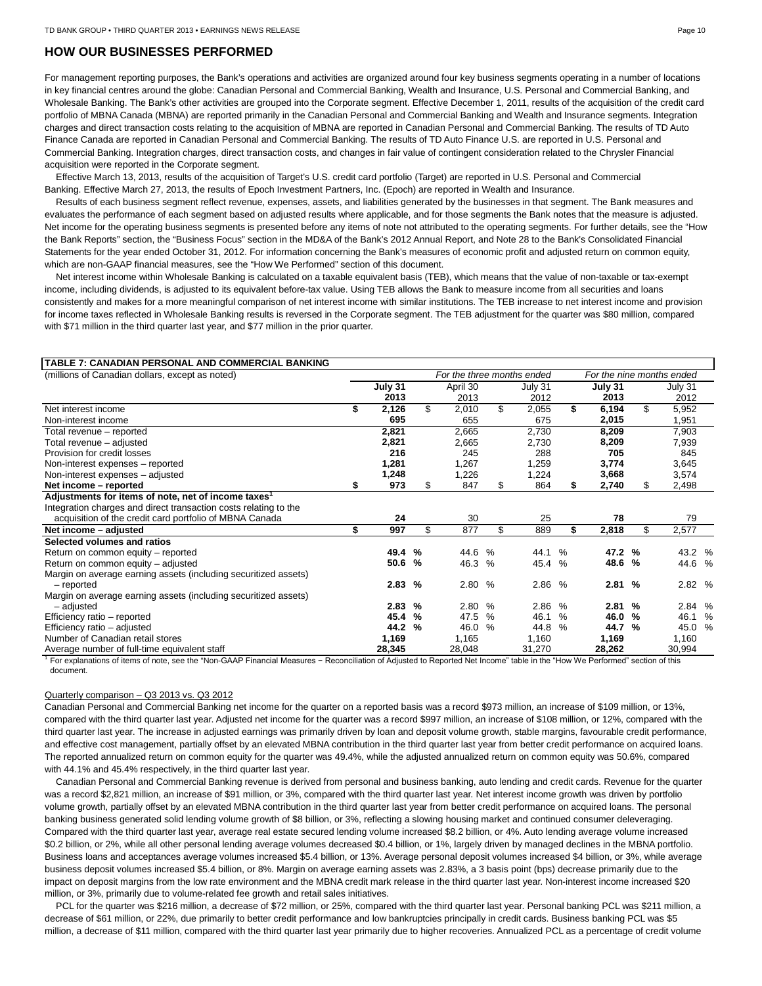# **HOW OUR BUSINESSES PERFORMED**

For management reporting purposes, the Bank's operations and activities are organized around four key business segments operating in a number of locations in key financial centres around the globe: Canadian Personal and Commercial Banking, Wealth and Insurance, U.S. Personal and Commercial Banking, and Wholesale Banking. The Bank's other activities are grouped into the Corporate segment. Effective December 1, 2011, results of the acquisition of the credit card portfolio of MBNA Canada (MBNA) are reported primarily in the Canadian Personal and Commercial Banking and Wealth and Insurance segments. Integration charges and direct transaction costs relating to the acquisition of MBNA are reported in Canadian Personal and Commercial Banking. The results of TD Auto Finance Canada are reported in Canadian Personal and Commercial Banking. The results of TD Auto Finance U.S. are reported in U.S. Personal and Commercial Banking. Integration charges, direct transaction costs, and changes in fair value of contingent consideration related to the Chrysler Financial acquisition were reported in the Corporate segment.

Effective March 13, 2013, results of the acquisition of Target's U.S. credit card portfolio (Target) are reported in U.S. Personal and Commercial Banking. Effective March 27, 2013, the results of Epoch Investment Partners, Inc. (Epoch) are reported in Wealth and Insurance.

Results of each business segment reflect revenue, expenses, assets, and liabilities generated by the businesses in that segment. The Bank measures and evaluates the performance of each segment based on adjusted results where applicable, and for those segments the Bank notes that the measure is adjusted. Net income for the operating business segments is presented before any items of note not attributed to the operating segments. For further details, see the "How the Bank Reports" section, the "Business Focus" section in the MD&A of the Bank's 2012 Annual Report, and Note 28 to the Bank's Consolidated Financial Statements for the year ended October 31, 2012. For information concerning the Bank's measures of economic profit and adjusted return on common equity, which are non-GAAP financial measures, see the "How We Performed" section of this document.

Net interest income within Wholesale Banking is calculated on a taxable equivalent basis (TEB), which means that the value of non-taxable or tax-exempt income, including dividends, is adjusted to its equivalent before-tax value. Using TEB allows the Bank to measure income from all securities and loans consistently and makes for a more meaningful comparison of net interest income with similar institutions. The TEB increase to net interest income and provision for income taxes reflected in Wholesale Banking results is reversed in the Corporate segment. The TEB adjustment for the quarter was \$80 million, compared with \$71 million in the third quarter last year, and \$77 million in the prior quarter.

# **TABLE 7: CANADIAN PERSONAL AND COMMERCIAL BANKING**

| (millions of Canadian dollars, except as noted)                  | For the three months ended |         |   |             |        |             | For the nine months ended |    |         |     |         |  |
|------------------------------------------------------------------|----------------------------|---------|---|-------------|--------|-------------|---------------------------|----|---------|-----|---------|--|
|                                                                  |                            | July 31 |   | April 30    |        | July 31     |                           |    | July 31 |     | July 31 |  |
|                                                                  |                            | 2013    |   | 2013        |        | 2012        |                           |    | 2013    |     | 2012    |  |
| Net interest income                                              | \$                         | 2,126   |   | \$<br>2,010 |        | \$<br>2,055 |                           | \$ | 6,194   | \$  | 5,952   |  |
| Non-interest income                                              |                            | 695     |   | 655         |        | 675         |                           |    | 2,015   |     | 1,951   |  |
| Total revenue - reported                                         |                            | 2,821   |   | 2,665       |        | 2,730       |                           |    | 8,209   |     | 7,903   |  |
| Total revenue - adjusted                                         |                            | 2,821   |   | 2,665       |        | 2,730       |                           |    | 8,209   |     | 7,939   |  |
| Provision for credit losses                                      |                            | 216     |   | 245         |        | 288         |                           |    | 705     |     | 845     |  |
| Non-interest expenses – reported                                 |                            | 1,281   |   | 1,267       |        | 1,259       |                           |    | 3,774   |     | 3,645   |  |
| Non-interest expenses - adjusted                                 |                            | 1,248   |   | 1,226       |        | 1,224       |                           |    | 3,668   |     | 3,574   |  |
| Net income – reported                                            | S                          | 973     |   | 847<br>S.   |        | 864<br>S.   |                           |    | 2,740   | \$. | 2,498   |  |
| Adjustments for items of note, net of income taxes <sup>1</sup>  |                            |         |   |             |        |             |                           |    |         |     |         |  |
| Integration charges and direct transaction costs relating to the |                            |         |   |             |        |             |                           |    |         |     |         |  |
| acquisition of the credit card portfolio of MBNA Canada          |                            | 24      |   | 30          |        |             | 25                        |    | 78      |     | 79      |  |
| Net income - adjusted                                            | \$                         | 997     |   | \$<br>877   |        | \$<br>889   |                           | \$ | 2,818   | \$  | 2,577   |  |
| Selected volumes and ratios                                      |                            |         |   |             |        |             |                           |    |         |     |         |  |
| Return on common equity - reported                               |                            | 49.4    | % | 44.6        | $\%$   | 44.1        | $\%$                      |    | 47.2 %  |     | 43.2 %  |  |
| Return on common equity - adjusted                               |                            | 50.6    | % |             | 46.3 % |             | 45.4 %                    |    | 48.6 %  |     | 44.6 %  |  |
| Margin on average earning assets (including securitized assets)  |                            |         |   |             |        |             |                           |    |         |     |         |  |
| - reported                                                       |                            | 2.83    | % |             | 2.80 % |             | 2.86 %                    |    | 2.81%   |     | 2.82 %  |  |
| Margin on average earning assets (including securitized assets)  |                            |         |   |             |        |             |                           |    |         |     |         |  |
| - adjusted                                                       |                            | 2.83    | % | 2.80        | $\%$   | 2.86        | $\%$                      |    | 2.81%   |     | 2.84 %  |  |
| Efficiency ratio – reported                                      |                            | 45.4    | % | 47.5        | $\%$   | 46.1        | $\%$                      |    | 46.0    | %   | 46.1 %  |  |
| Efficiency ratio - adjusted                                      |                            | 44.2    | % | 46.0        | $\%$   | 44.8        | $\%$                      |    | 44.7 %  |     | 45.0 %  |  |
| Number of Canadian retail stores                                 |                            | 1,169   |   | 1,165       |        | 1,160       |                           |    | 1,169   |     | 1,160   |  |
| Average number of full-time equivalent staff                     |                            | 28,345  |   | 28,048      |        | 31,270      |                           |    | 28,262  |     | 30,994  |  |

<sup>1</sup> For explanations of items of note, see the "Non-GAAP Financial Measures − Reconciliation of Adjusted to Reported Net Income" table in the "How We Performed" section of this document.

# Quarterly comparison – Q3 2013 vs. Q3 2012

Canadian Personal and Commercial Banking net income for the quarter on a reported basis was a record \$973 million, an increase of \$109 million, or 13%, compared with the third quarter last year. Adjusted net income for the quarter was a record \$997 million, an increase of \$108 million, or 12%, compared with the third quarter last year. The increase in adjusted earnings was primarily driven by loan and deposit volume growth, stable margins, favourable credit performance, and effective cost management, partially offset by an elevated MBNA contribution in the third quarter last year from better credit performance on acquired loans. The reported annualized return on common equity for the quarter was 49.4%, while the adjusted annualized return on common equity was 50.6%, compared with 44.1% and 45.4% respectively, in the third quarter last year.

Canadian Personal and Commercial Banking revenue is derived from personal and business banking, auto lending and credit cards. Revenue for the quarter was a record \$2,821 million, an increase of \$91 million, or 3%, compared with the third quarter last year. Net interest income growth was driven by portfolio volume growth, partially offset by an elevated MBNA contribution in the third quarter last year from better credit performance on acquired loans. The personal banking business generated solid lending volume growth of \$8 billion, or 3%, reflecting a slowing housing market and continued consumer deleveraging. Compared with the third quarter last year, average real estate secured lending volume increased \$8.2 billion, or 4%. Auto lending average volume increased \$0.2 billion, or 2%, while all other personal lending average volumes decreased \$0.4 billion, or 1%, largely driven by managed declines in the MBNA portfolio. Business loans and acceptances average volumes increased \$5.4 billion, or 13%. Average personal deposit volumes increased \$4 billion, or 3%, while average business deposit volumes increased \$5.4 billion, or 8%. Margin on average earning assets was 2.83%, a 3 basis point (bps) decrease primarily due to the impact on deposit margins from the low rate environment and the MBNA credit mark release in the third quarter last year. Non-interest income increased \$20 million, or 3%, primarily due to volume-related fee growth and retail sales initiatives.

PCL for the quarter was \$216 million, a decrease of \$72 million, or 25%, compared with the third quarter last year. Personal banking PCL was \$211 million, a decrease of \$61 million, or 22%, due primarily to better credit performance and low bankruptcies principally in credit cards. Business banking PCL was \$5 million, a decrease of \$11 million, compared with the third quarter last year primarily due to higher recoveries. Annualized PCL as a percentage of credit volume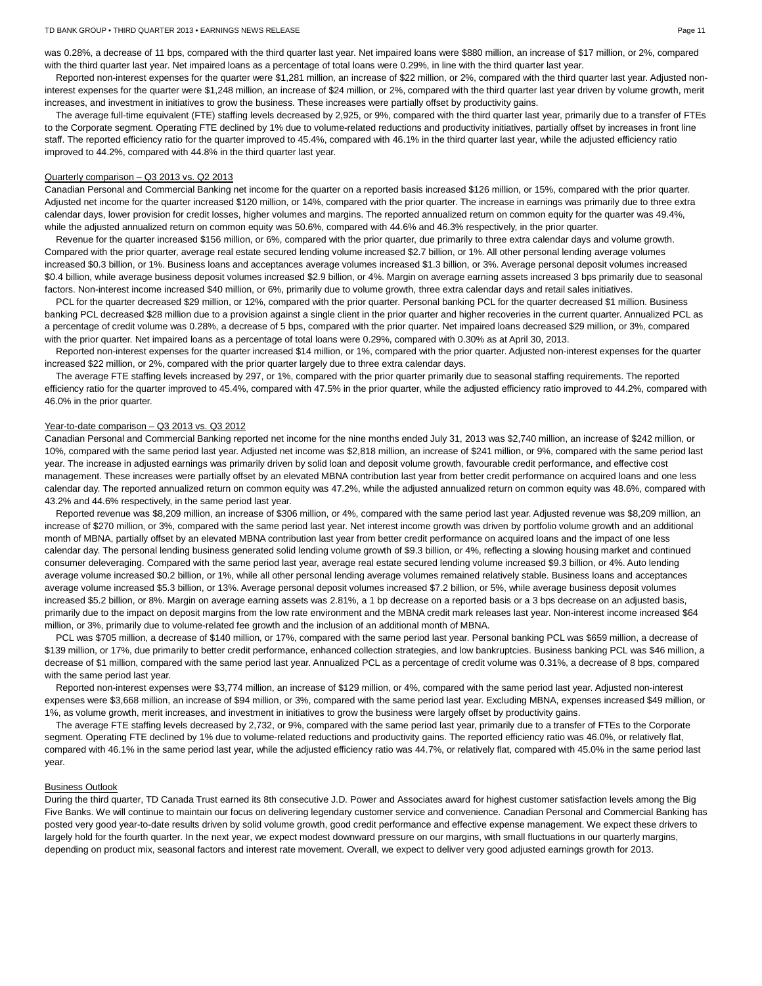#### TD BANK GROUP • THIRD QUARTER 2013 • EARNINGS NEWS RELEASE PAGE 11 ACCREAGE PAGE 11 ACCREAGE PAGE 11

was 0.28%, a decrease of 11 bps, compared with the third quarter last year. Net impaired loans were \$880 million, an increase of \$17 million, or 2%, compared with the third quarter last year. Net impaired loans as a percentage of total loans were 0.29%, in line with the third quarter last year.

Reported non-interest expenses for the quarter were \$1,281 million, an increase of \$22 million, or 2%, compared with the third quarter last year. Adjusted noninterest expenses for the quarter were \$1,248 million, an increase of \$24 million, or 2%, compared with the third quarter last year driven by volume growth, merit increases, and investment in initiatives to grow the business. These increases were partially offset by productivity gains.

The average full-time equivalent (FTE) staffing levels decreased by 2,925, or 9%, compared with the third quarter last year, primarily due to a transfer of FTEs to the Corporate segment. Operating FTE declined by 1% due to volume-related reductions and productivity initiatives, partially offset by increases in front line staff. The reported efficiency ratio for the quarter improved to 45.4%, compared with 46.1% in the third quarter last year, while the adjusted efficiency ratio improved to 44.2%, compared with 44.8% in the third quarter last year.

# Quarterly comparison – Q3 2013 vs. Q2 2013

Canadian Personal and Commercial Banking net income for the quarter on a reported basis increased \$126 million, or 15%, compared with the prior quarter. Adjusted net income for the quarter increased \$120 million, or 14%, compared with the prior quarter. The increase in earnings was primarily due to three extra calendar days, lower provision for credit losses, higher volumes and margins. The reported annualized return on common equity for the quarter was 49.4%, while the adjusted annualized return on common equity was 50.6%, compared with 44.6% and 46.3% respectively, in the prior quarter.

Revenue for the quarter increased \$156 million, or 6%, compared with the prior quarter, due primarily to three extra calendar days and volume growth. Compared with the prior quarter, average real estate secured lending volume increased \$2.7 billion, or 1%. All other personal lending average volumes increased \$0.3 billion, or 1%. Business loans and acceptances average volumes increased \$1.3 billion, or 3%. Average personal deposit volumes increased \$0.4 billion, while average business deposit volumes increased \$2.9 billion, or 4%. Margin on average earning assets increased 3 bps primarily due to seasonal factors. Non-interest income increased \$40 million, or 6%, primarily due to volume growth, three extra calendar days and retail sales initiatives.

PCL for the quarter decreased \$29 million, or 12%, compared with the prior quarter. Personal banking PCL for the quarter decreased \$1 million. Business banking PCL decreased \$28 million due to a provision against a single client in the prior quarter and higher recoveries in the current quarter. Annualized PCL as a percentage of credit volume was 0.28%, a decrease of 5 bps, compared with the prior quarter. Net impaired loans decreased \$29 million, or 3%, compared with the prior quarter. Net impaired loans as a percentage of total loans were 0.29%, compared with 0.30% as at April 30, 2013.

Reported non-interest expenses for the quarter increased \$14 million, or 1%, compared with the prior quarter. Adjusted non-interest expenses for the quarter increased \$22 million, or 2%, compared with the prior quarter largely due to three extra calendar days.

The average FTE staffing levels increased by 297, or 1%, compared with the prior quarter primarily due to seasonal staffing requirements. The reported efficiency ratio for the quarter improved to 45.4%, compared with 47.5% in the prior quarter, while the adjusted efficiency ratio improved to 44.2%, compared with 46.0% in the prior quarter.

## Year-to-date comparison – Q3 2013 vs. Q3 2012

Canadian Personal and Commercial Banking reported net income for the nine months ended July 31, 2013 was \$2,740 million, an increase of \$242 million, or 10%, compared with the same period last year. Adjusted net income was \$2,818 million, an increase of \$241 million, or 9%, compared with the same period last year. The increase in adjusted earnings was primarily driven by solid loan and deposit volume growth, favourable credit performance, and effective cost management. These increases were partially offset by an elevated MBNA contribution last year from better credit performance on acquired loans and one less calendar day. The reported annualized return on common equity was 47.2%, while the adjusted annualized return on common equity was 48.6%, compared with 43.2% and 44.6% respectively, in the same period last year.

Reported revenue was \$8,209 million, an increase of \$306 million, or 4%, compared with the same period last year. Adjusted revenue was \$8,209 million, an increase of \$270 million, or 3%, compared with the same period last year. Net interest income growth was driven by portfolio volume growth and an additional month of MBNA, partially offset by an elevated MBNA contribution last year from better credit performance on acquired loans and the impact of one less calendar day. The personal lending business generated solid lending volume growth of \$9.3 billion, or 4%, reflecting a slowing housing market and continued consumer deleveraging. Compared with the same period last year, average real estate secured lending volume increased \$9.3 billion, or 4%. Auto lending average volume increased \$0.2 billion, or 1%, while all other personal lending average volumes remained relatively stable. Business loans and acceptances average volume increased \$5.3 billion, or 13%. Average personal deposit volumes increased \$7.2 billion, or 5%, while average business deposit volumes increased \$5.2 billion, or 8%. Margin on average earning assets was 2.81%, a 1 bp decrease on a reported basis or a 3 bps decrease on an adjusted basis, primarily due to the impact on deposit margins from the low rate environment and the MBNA credit mark releases last year. Non-interest income increased \$64 million, or 3%, primarily due to volume-related fee growth and the inclusion of an additional month of MBNA.

PCL was \$705 million, a decrease of \$140 million, or 17%, compared with the same period last year. Personal banking PCL was \$659 million, a decrease of \$139 million, or 17%, due primarily to better credit performance, enhanced collection strategies, and low bankruptcies. Business banking PCL was \$46 million, a decrease of \$1 million, compared with the same period last year. Annualized PCL as a percentage of credit volume was 0.31%, a decrease of 8 bps, compared with the same period last year.

Reported non-interest expenses were \$3,774 million, an increase of \$129 million, or 4%, compared with the same period last year. Adjusted non-interest expenses were \$3,668 million, an increase of \$94 million, or 3%, compared with the same period last year. Excluding MBNA, expenses increased \$49 million, or 1%, as volume growth, merit increases, and investment in initiatives to grow the business were largely offset by productivity gains.

The average FTE staffing levels decreased by 2,732, or 9%, compared with the same period last year, primarily due to a transfer of FTEs to the Corporate segment. Operating FTE declined by 1% due to volume-related reductions and productivity gains. The reported efficiency ratio was 46.0%, or relatively flat, compared with 46.1% in the same period last year, while the adjusted efficiency ratio was 44.7%, or relatively flat, compared with 45.0% in the same period last year.

## Business Outlook

During the third quarter, TD Canada Trust earned its 8th consecutive J.D. Power and Associates award for highest customer satisfaction levels among the Big Five Banks. We will continue to maintain our focus on delivering legendary customer service and convenience. Canadian Personal and Commercial Banking has posted very good year-to-date results driven by solid volume growth, good credit performance and effective expense management. We expect these drivers to largely hold for the fourth quarter. In the next year, we expect modest downward pressure on our margins, with small fluctuations in our quarterly margins, depending on product mix, seasonal factors and interest rate movement. Overall, we expect to deliver very good adjusted earnings growth for 2013.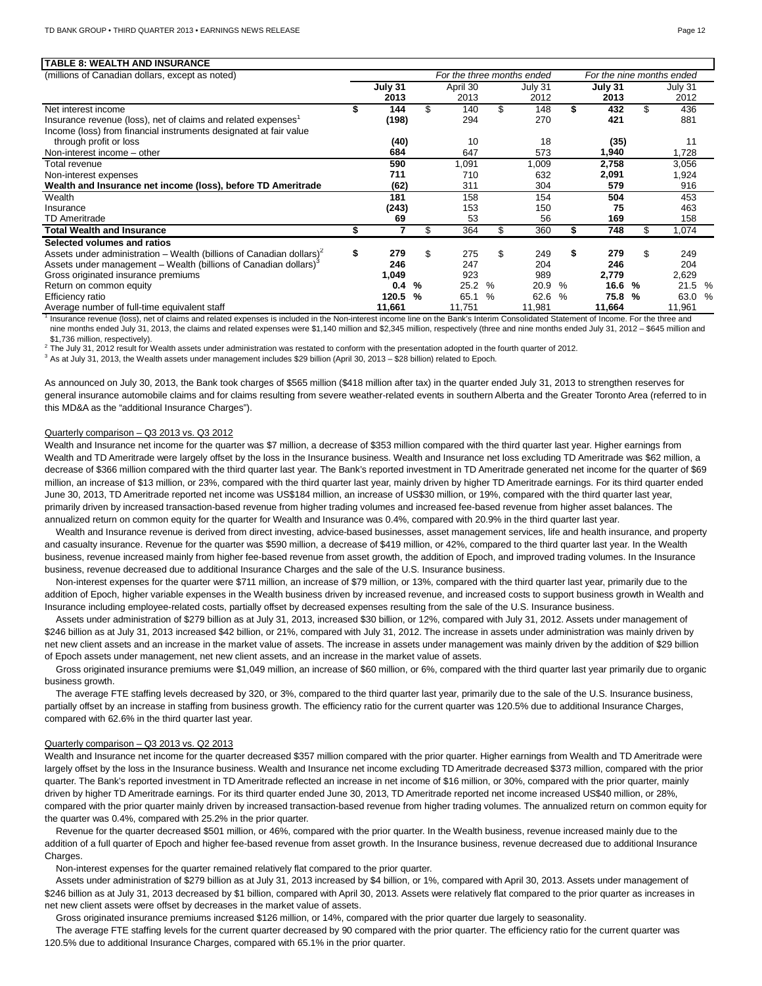| TABLE 8: WEALTH AND INSURANCE                                                    |                            |         |     |          |      |         |      |         |    |                           |               |
|----------------------------------------------------------------------------------|----------------------------|---------|-----|----------|------|---------|------|---------|----|---------------------------|---------------|
| (millions of Canadian dollars, except as noted)                                  | For the three months ended |         |     |          |      |         |      |         |    | For the nine months ended |               |
|                                                                                  |                            | July 31 |     | April 30 |      | July 31 |      | July 31 |    | July 31                   |               |
|                                                                                  |                            | 2013    |     | 2013     |      | 2012    |      | 2013    |    | 2012                      |               |
| Net interest income                                                              |                            | 144     | \$. | 140      | \$   | 148     | \$   | 432     | \$ | 436                       |               |
| Insurance revenue (loss), net of claims and related expenses <sup>1</sup>        |                            | (198)   |     | 294      |      | 270     |      | 421     |    | 881                       |               |
| Income (loss) from financial instruments designated at fair value                |                            |         |     |          |      |         |      |         |    |                           |               |
| through profit or loss                                                           |                            | (40)    |     | 10       |      | 18      |      | (35)    |    | 11                        |               |
| Non-interest income - other                                                      |                            | 684     |     | 647      |      | 573     |      | 1,940   |    | 1.728                     |               |
| Total revenue                                                                    |                            | 590     |     | 1,091    |      | 1.009   |      | 2.758   |    | 3,056                     |               |
| Non-interest expenses                                                            |                            | 711     |     | 710      |      | 632     |      | 2,091   |    | 1,924                     |               |
| Wealth and Insurance net income (loss), before TD Ameritrade                     |                            | (62)    |     | 311      |      | 304     |      | 579     |    | 916                       |               |
| Wealth                                                                           |                            | 181     |     | 158      |      | 154     |      | 504     |    | 453                       |               |
| Insurance                                                                        |                            | (243)   |     | 153      |      | 150     |      | 75      |    | 463                       |               |
| <b>TD Ameritrade</b>                                                             |                            | 69      |     | 53       |      | 56      |      | 169     |    | 158                       |               |
| <b>Total Wealth and Insurance</b>                                                |                            | 7       | \$  | 364      | \$.  | 360     | S.   | 748     | \$ | 1,074                     |               |
| Selected volumes and ratios                                                      |                            |         |     |          |      |         |      |         |    |                           |               |
| Assets under administration – Wealth (billions of Canadian dollars) <sup>2</sup> | \$                         | 279     | \$  | 275      | \$   | 249     | \$   | 279     | \$ | 249                       |               |
| Assets under management – Wealth (billions of Canadian dollars) <sup>3</sup>     |                            | 246     |     | 247      |      | 204     |      | 246     |    | 204                       |               |
| Gross originated insurance premiums                                              |                            | 1,049   |     | 923      |      | 989     |      | 2,779   |    | 2,629                     |               |
| Return on common equity                                                          |                            | 0.4     | %   | 25.2     | $\%$ | 20.9    | %    | 16.6    | %  | 21.5                      | $\frac{0}{6}$ |
| Efficiency ratio                                                                 |                            | 120.5   | %   | 65.1     | $\%$ | 62.6    | $\%$ | 75.8    | %  | 63.0                      | $\%$          |
| Average number of full-time equivalent staff                                     |                            | 11,661  |     | 11.751   |      | 11,981  |      | 11,664  |    | 11,961                    |               |

<sup>1</sup> Insurance revenue (loss), net of claims and related expenses is included in the Non-interest income line on the Bank's Interim Consolidated Statement of Income. For the three and nine months ended July 31, 2013, the claims and related expenses were \$1,140 million and \$2,345 million, respectively (three and nine months ended July 31, 2012 - \$645 million and \$1,736 million, respectively).

<sup>2</sup> The July 31, 2012 result for Wealth assets under administration was restated to conform with the presentation adopted in the fourth quarter of 2012.

<sup>3</sup> As at July 31, 2013, the Wealth assets under management includes \$29 billion (April 30, 2013 – \$28 billion) related to Epoch.

As announced on July 30, 2013, the Bank took charges of \$565 million (\$418 million after tax) in the quarter ended July 31, 2013 to strengthen reserves for general insurance automobile claims and for claims resulting from severe weather-related events in southern Alberta and the Greater Toronto Area (referred to in this MD&A as the "additional Insurance Charges").

#### Quarterly comparison – Q3 2013 vs. Q3 2012

Wealth and Insurance net income for the quarter was \$7 million, a decrease of \$353 million compared with the third quarter last year. Higher earnings from Wealth and TD Ameritrade were largely offset by the loss in the Insurance business. Wealth and Insurance net loss excluding TD Ameritrade was \$62 million, a decrease of \$366 million compared with the third quarter last year. The Bank's reported investment in TD Ameritrade generated net income for the quarter of \$69 million, an increase of \$13 million, or 23%, compared with the third quarter last year, mainly driven by higher TD Ameritrade earnings. For its third quarter ended June 30, 2013, TD Ameritrade reported net income was US\$184 million, an increase of US\$30 million, or 19%, compared with the third quarter last year, primarily driven by increased transaction-based revenue from higher trading volumes and increased fee-based revenue from higher asset balances. The annualized return on common equity for the quarter for Wealth and Insurance was 0.4%, compared with 20.9% in the third quarter last year.

Wealth and Insurance revenue is derived from direct investing, advice-based businesses, asset management services, life and health insurance, and property and casualty insurance. Revenue for the quarter was \$590 million, a decrease of \$419 million, or 42%, compared to the third quarter last year. In the Wealth business, revenue increased mainly from higher fee-based revenue from asset growth, the addition of Epoch, and improved trading volumes. In the Insurance business, revenue decreased due to additional Insurance Charges and the sale of the U.S. Insurance business.

Non-interest expenses for the quarter were \$711 million, an increase of \$79 million, or 13%, compared with the third quarter last year, primarily due to the addition of Epoch, higher variable expenses in the Wealth business driven by increased revenue, and increased costs to support business growth in Wealth and Insurance including employee-related costs, partially offset by decreased expenses resulting from the sale of the U.S. Insurance business.

Assets under administration of \$279 billion as at July 31, 2013, increased \$30 billion, or 12%, compared with July 31, 2012. Assets under management of \$246 billion as at July 31, 2013 increased \$42 billion, or 21%, compared with July 31, 2012. The increase in assets under administration was mainly driven by net new client assets and an increase in the market value of assets. The increase in assets under management was mainly driven by the addition of \$29 billion of Epoch assets under management, net new client assets, and an increase in the market value of assets.

Gross originated insurance premiums were \$1,049 million, an increase of \$60 million, or 6%, compared with the third quarter last year primarily due to organic business growth.

The average FTE staffing levels decreased by 320, or 3%, compared to the third quarter last year, primarily due to the sale of the U.S. Insurance business, partially offset by an increase in staffing from business growth. The efficiency ratio for the current quarter was 120.5% due to additional Insurance Charges, compared with 62.6% in the third quarter last year.

## Quarterly comparison – Q3 2013 vs. Q2 2013

Wealth and Insurance net income for the quarter decreased \$357 million compared with the prior quarter. Higher earnings from Wealth and TD Ameritrade were largely offset by the loss in the Insurance business. Wealth and Insurance net income excluding TD Ameritrade decreased \$373 million, compared with the prior quarter. The Bank's reported investment in TD Ameritrade reflected an increase in net income of \$16 million, or 30%, compared with the prior quarter, mainly driven by higher TD Ameritrade earnings. For its third quarter ended June 30, 2013, TD Ameritrade reported net income increased US\$40 million, or 28%, compared with the prior quarter mainly driven by increased transaction-based revenue from higher trading volumes. The annualized return on common equity for the quarter was 0.4%, compared with 25.2% in the prior quarter.

Revenue for the quarter decreased \$501 million, or 46%, compared with the prior quarter. In the Wealth business, revenue increased mainly due to the addition of a full quarter of Epoch and higher fee-based revenue from asset growth. In the Insurance business, revenue decreased due to additional Insurance Charges.

Non-interest expenses for the quarter remained relatively flat compared to the prior quarter.

Assets under administration of \$279 billion as at July 31, 2013 increased by \$4 billion, or 1%, compared with April 30, 2013. Assets under management of \$246 billion as at July 31, 2013 decreased by \$1 billion, compared with April 30, 2013. Assets were relatively flat compared to the prior quarter as increases in net new client assets were offset by decreases in the market value of assets.

Gross originated insurance premiums increased \$126 million, or 14%, compared with the prior quarter due largely to seasonality.

The average FTE staffing levels for the current quarter decreased by 90 compared with the prior quarter. The efficiency ratio for the current quarter was 120.5% due to additional Insurance Charges, compared with 65.1% in the prior quarter.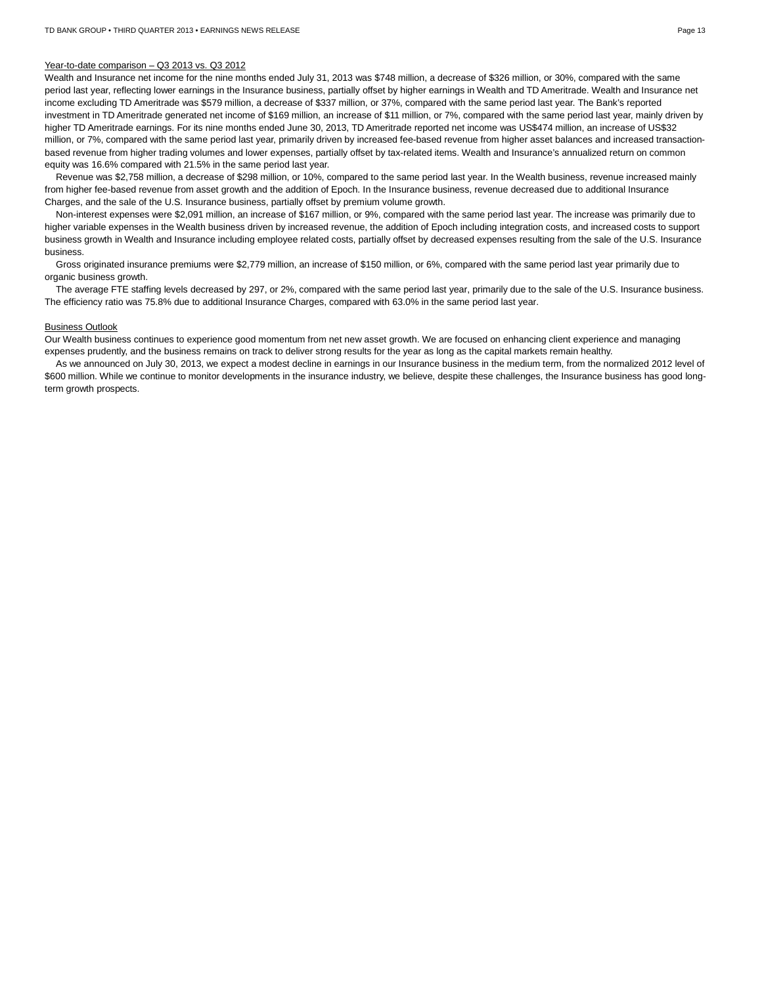#### Year-to-date comparison – Q3 2013 vs. Q3 2012

Wealth and Insurance net income for the nine months ended July 31, 2013 was \$748 million, a decrease of \$326 million, or 30%, compared with the same period last year, reflecting lower earnings in the Insurance business, partially offset by higher earnings in Wealth and TD Ameritrade. Wealth and Insurance net income excluding TD Ameritrade was \$579 million, a decrease of \$337 million, or 37%, compared with the same period last year. The Bank's reported investment in TD Ameritrade generated net income of \$169 million, an increase of \$11 million, or 7%, compared with the same period last year, mainly driven by higher TD Ameritrade earnings. For its nine months ended June 30, 2013, TD Ameritrade reported net income was US\$474 million, an increase of US\$32 million, or 7%, compared with the same period last year, primarily driven by increased fee-based revenue from higher asset balances and increased transactionbased revenue from higher trading volumes and lower expenses, partially offset by tax-related items. Wealth and Insurance's annualized return on common equity was 16.6% compared with 21.5% in the same period last year.

Revenue was \$2,758 million, a decrease of \$298 million, or 10%, compared to the same period last year. In the Wealth business, revenue increased mainly from higher fee-based revenue from asset growth and the addition of Epoch. In the Insurance business, revenue decreased due to additional Insurance Charges, and the sale of the U.S. Insurance business, partially offset by premium volume growth.

Non-interest expenses were \$2,091 million, an increase of \$167 million, or 9%, compared with the same period last year. The increase was primarily due to higher variable expenses in the Wealth business driven by increased revenue, the addition of Epoch including integration costs, and increased costs to support business growth in Wealth and Insurance including employee related costs, partially offset by decreased expenses resulting from the sale of the U.S. Insurance business.

Gross originated insurance premiums were \$2,779 million, an increase of \$150 million, or 6%, compared with the same period last year primarily due to organic business growth.

The average FTE staffing levels decreased by 297, or 2%, compared with the same period last year, primarily due to the sale of the U.S. Insurance business. The efficiency ratio was 75.8% due to additional Insurance Charges, compared with 63.0% in the same period last year.

# Business Outlook

Our Wealth business continues to experience good momentum from net new asset growth. We are focused on enhancing client experience and managing expenses prudently, and the business remains on track to deliver strong results for the year as long as the capital markets remain healthy.

As we announced on July 30, 2013, we expect a modest decline in earnings in our Insurance business in the medium term, from the normalized 2012 level of \$600 million. While we continue to monitor developments in the insurance industry, we believe, despite these challenges, the Insurance business has good longterm growth prospects.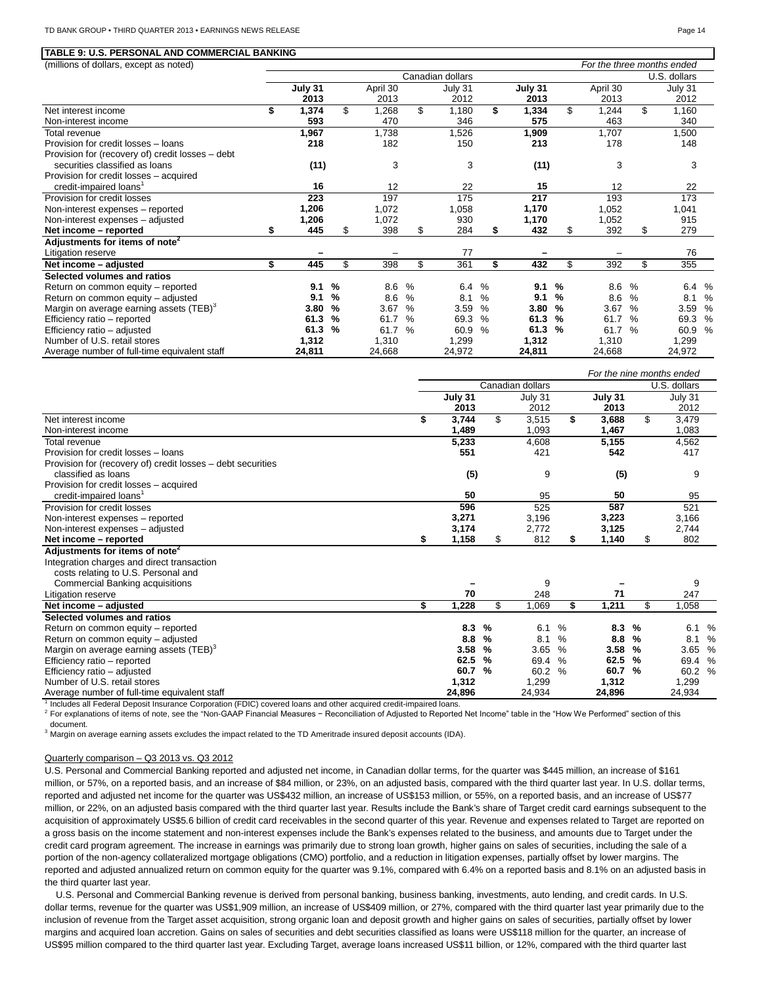#### **TABLE 9: U.S. PERSONAL AND COMMERCIAL BANKING**

(millions of dollars, except as noted) *For the three months ended*

|                                                     | Canadian dollars |         |               |          |               |         |      |         |               |          |               | U.S. dollars |   |
|-----------------------------------------------------|------------------|---------|---------------|----------|---------------|---------|------|---------|---------------|----------|---------------|--------------|---|
|                                                     |                  | July 31 |               | April 30 |               | July 31 |      | July 31 |               | April 30 |               | July 31      |   |
|                                                     |                  | 2013    |               | 2013     |               | 2012    |      | 2013    |               | 2013     |               | 2012         |   |
| Net interest income                                 | \$               | 1,374   | \$            | 1,268    | \$            | 1,180   | \$   | 1,334   | \$            | 1,244    | \$            | 1,160        |   |
| Non-interest income                                 |                  | 593     |               | 470      |               | 346     |      | 575     |               | 463      |               | 340          |   |
| Total revenue                                       |                  | 1,967   |               | 1,738    |               | 1,526   |      | 1,909   |               | 1,707    |               | 1,500        |   |
| Provision for credit losses - loans                 |                  | 218     |               | 182      |               | 150     |      | 213     |               | 178      |               | 148          |   |
| Provision for (recovery of) credit losses – debt    |                  |         |               |          |               |         |      |         |               |          |               |              |   |
| securities classified as loans                      |                  | (11)    |               | 3        |               | 3       |      | (11)    |               | 3        |               | 3            |   |
| Provision for credit losses - acquired              |                  |         |               |          |               |         |      |         |               |          |               |              |   |
| credit-impaired loans <sup>1</sup>                  |                  | 16      |               | 12       |               | 22      |      | 15      |               | 12       |               | 22           |   |
| Provision for credit losses                         |                  | 223     |               | 197      |               | 175     |      | 217     |               | 193      |               | 173          |   |
| Non-interest expenses - reported                    |                  | 1,206   |               | 1,072    |               | 1,058   |      | 1,170   |               | 1,052    |               | 1,041        |   |
| Non-interest expenses - adjusted                    |                  | 1,206   |               | 1,072    |               | 930     |      | 1,170   |               | 1,052    |               | 915          |   |
| Net income - reported                               |                  | 445     | \$            | 398      | \$            | 284     | \$   | 432     |               | 392      | \$            | 279          |   |
| Adjustments for items of note <sup>2</sup>          |                  |         |               |          |               |         |      |         |               |          |               |              |   |
| Litigation reserve                                  |                  |         |               |          |               | 77      |      |         |               |          |               | 76           |   |
| Net income - adjusted                               | \$               | 445     | \$.           | 398      | \$            | 361     | \$   | 432     | \$.           | 392      | \$.           | 355          |   |
| Selected volumes and ratios                         |                  |         |               |          |               |         |      |         |               |          |               |              |   |
| Return on common equity - reported                  |                  | 9.1     | %             | 8.6      | $\frac{0}{0}$ | 6.4     | $\%$ | 9.1     | %             | 8.6      | %             | 6.4 %        |   |
| Return on common equity - adjusted                  |                  | 9.1     | %             | 8.6      | $\%$          | 8.1     | $\%$ | 9.1     | %             | 8.6      | $\%$          | 8.1          | % |
| Margin on average earning assets (TEB) <sup>3</sup> |                  | 3.80    | %             | 3.67     | %             | 3.59    | $\%$ | 3.80    | %             | 3.67     | $\%$          | 3.59         | % |
| Efficiency ratio - reported                         |                  | 61.3    | %             | 61.7     | %             | 69.3    | %    | 61.3    | $\frac{9}{6}$ | 61.7     | $\%$          | 69.3         | % |
| Efficiency ratio - adjusted                         |                  | 61.3    | $\frac{9}{6}$ | 61.7     | $\%$          | 60.9    | $\%$ | 61.3    | $\frac{9}{6}$ | 61.7     | $\frac{6}{6}$ | 60.9         | % |
| Number of U.S. retail stores                        |                  | 1,312   |               | 1,310    |               | 1,299   |      | 1,312   |               | 1,310    |               | 1,299        |   |
| Average number of full-time equivalent staff        |                  | 24,811  |               | 24,668   |               | 24,972  |      | 24,811  |               | 24,668   |               | 24,972       |   |

|                                                             |    |         |               |                  |               |         |               | For the nine months ended |   |
|-------------------------------------------------------------|----|---------|---------------|------------------|---------------|---------|---------------|---------------------------|---|
|                                                             |    |         |               | Canadian dollars |               |         |               | U.S. dollars              |   |
|                                                             |    | July 31 |               | July 31          |               | July 31 |               | July 31                   |   |
|                                                             |    | 2013    |               | 2012             |               | 2013    |               | 2012                      |   |
| Net interest income                                         | \$ | 3,744   | \$            | 3,515            | \$            | 3,688   | \$            | 3,479                     |   |
| Non-interest income                                         |    | 1,489   |               | 1,093            |               | 1,467   |               | 1,083                     |   |
| Total revenue                                               |    | 5,233   |               | 4,608            |               | 5,155   |               | 4,562                     |   |
| Provision for credit losses - loans                         |    | 551     |               | 421              |               | 542     |               | 417                       |   |
| Provision for (recovery of) credit losses – debt securities |    |         |               |                  |               |         |               |                           |   |
| classified as loans                                         |    | (5)     |               | 9                |               | (5)     |               | 9                         |   |
| Provision for credit losses - acquired                      |    |         |               |                  |               |         |               |                           |   |
| credit-impaired loans <sup>1</sup>                          |    | 50      |               | 95               |               | 50      |               | 95                        |   |
| Provision for credit losses                                 |    | 596     |               | 525              |               | 587     |               | 521                       |   |
| Non-interest expenses - reported                            |    | 3,271   |               | 3,196            |               | 3,223   |               | 3,166                     |   |
| Non-interest expenses - adjusted                            |    | 3,174   |               | 2,772            |               | 3,125   |               | 2,744                     |   |
| Net income - reported                                       | S  | 1,158   | \$            | 812              | S             | 1,140   | \$            | 802                       |   |
| Adjustments for items of note <sup>2</sup>                  |    |         |               |                  |               |         |               |                           |   |
| Integration charges and direct transaction                  |    |         |               |                  |               |         |               |                           |   |
| costs relating to U.S. Personal and                         |    |         |               |                  |               |         |               |                           |   |
| <b>Commercial Banking acquisitions</b>                      |    |         |               | 9                |               |         |               | 9                         |   |
| Litigation reserve                                          |    | 70      |               | 248              |               | 71      |               | 247                       |   |
| Net income - adjusted                                       | \$ | 1,228   | \$            | 1,069            | \$            | 1,211   | \$            | 1,058                     |   |
| Selected volumes and ratios                                 |    |         |               |                  |               |         |               |                           |   |
| Return on common equity - reported                          |    | 8.3     | $\%$          | 6.1              | $\frac{0}{0}$ | 8.3     | %             | 6.1                       | % |
| Return on common equity - adjusted                          |    | 8.8     | %             | 8.1              | %             | 8.8     | %             | 8.1                       | % |
| Margin on average earning assets (TEB) <sup>3</sup>         |    | 3.58    | $\%$          | 3.65             | $\%$          | 3.58    | %             | 3.65 %                    |   |
| Efficiency ratio - reported                                 |    | 62.5    | $\frac{9}{6}$ | 69.4             | $\frac{0}{0}$ | 62.5    | $\frac{9}{6}$ | 69.4 %                    |   |
| Efficiency ratio - adjusted                                 |    | 60.7    | $\%$          | 60.2             | $\%$          | 60.7    | $\frac{9}{6}$ | 60.2 %                    |   |
| Number of U.S. retail stores                                |    | 1,312   |               | 1,299            |               | 1,312   |               | 1,299                     |   |
| Average number of full-time equivalent staff                |    | 24,896  |               | 24,934           |               | 24,896  |               | 24,934                    |   |

<sup>1</sup> Includes all Federal Deposit Insurance Corporation (FDIC) covered loans and other acquired credit-impaired loans.

<sup>2</sup> For explanations of items of note, see the "Non-GAAP Financial Measures − Reconciliation of Adjusted to Reported Net Income" table in the "How We Performed" section of this document.

 $3$  Margin on average earning assets excludes the impact related to the TD Ameritrade insured deposit accounts (IDA).

## Quarterly comparison – Q3 2013 vs. Q3 2012

U.S. Personal and Commercial Banking reported and adjusted net income, in Canadian dollar terms, for the quarter was \$445 million, an increase of \$161 million, or 57%, on a reported basis, and an increase of \$84 million, or 23%, on an adjusted basis, compared with the third quarter last year. In U.S. dollar terms, reported and adjusted net income for the quarter was US\$432 million, an increase of US\$153 million, or 55%, on a reported basis, and an increase of US\$77 million, or 22%, on an adjusted basis compared with the third quarter last year. Results include the Bank's share of Target credit card earnings subsequent to the acquisition of approximately US\$5.6 billion of credit card receivables in the second quarter of this year. Revenue and expenses related to Target are reported on a gross basis on the income statement and non-interest expenses include the Bank's expenses related to the business, and amounts due to Target under the credit card program agreement. The increase in earnings was primarily due to strong loan growth, higher gains on sales of securities, including the sale of a portion of the non-agency collateralized mortgage obligations (CMO) portfolio, and a reduction in litigation expenses, partially offset by lower margins. The reported and adjusted annualized return on common equity for the quarter was 9.1%, compared with 6.4% on a reported basis and 8.1% on an adjusted basis in the third quarter last year.

U.S. Personal and Commercial Banking revenue is derived from personal banking, business banking, investments, auto lending, and credit cards. In U.S. dollar terms, revenue for the quarter was US\$1,909 million, an increase of US\$409 million, or 27%, compared with the third quarter last year primarily due to the inclusion of revenue from the Target asset acquisition, strong organic loan and deposit growth and higher gains on sales of securities, partially offset by lower margins and acquired loan accretion. Gains on sales of securities and debt securities classified as loans were US\$118 million for the quarter, an increase of US\$95 million compared to the third quarter last year. Excluding Target, average loans increased US\$11 billion, or 12%, compared with the third quarter last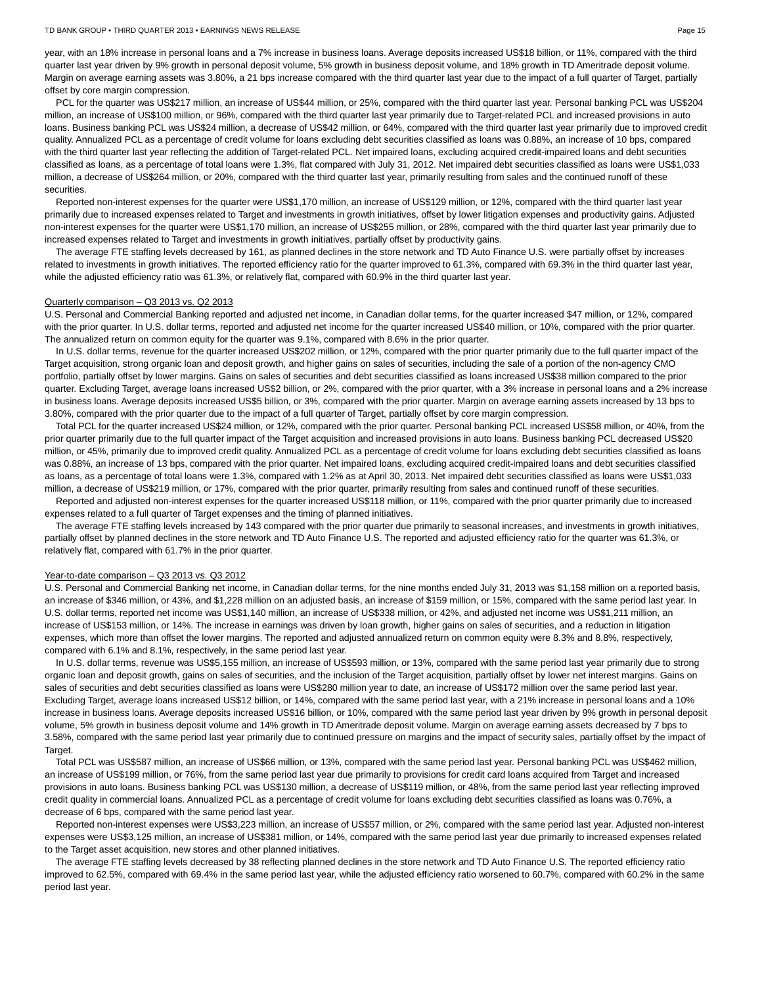year, with an 18% increase in personal loans and a 7% increase in business loans. Average deposits increased US\$18 billion, or 11%, compared with the third quarter last year driven by 9% growth in personal deposit volume, 5% growth in business deposit volume, and 18% growth in TD Ameritrade deposit volume. Margin on average earning assets was 3.80%, a 21 bps increase compared with the third quarter last year due to the impact of a full quarter of Target, partially offset by core margin compression.

PCL for the quarter was US\$217 million, an increase of US\$44 million, or 25%, compared with the third quarter last year. Personal banking PCL was US\$204 million, an increase of US\$100 million, or 96%, compared with the third quarter last year primarily due to Target-related PCL and increased provisions in auto loans. Business banking PCL was US\$24 million, a decrease of US\$42 million, or 64%, compared with the third quarter last year primarily due to improved credit quality. Annualized PCL as a percentage of credit volume for loans excluding debt securities classified as loans was 0.88%, an increase of 10 bps, compared with the third quarter last year reflecting the addition of Target-related PCL. Net impaired loans, excluding acquired credit-impaired loans and debt securities classified as loans, as a percentage of total loans were 1.3%, flat compared with July 31, 2012. Net impaired debt securities classified as loans were US\$1,033 million, a decrease of US\$264 million, or 20%, compared with the third quarter last year, primarily resulting from sales and the continued runoff of these securities.

Reported non-interest expenses for the quarter were US\$1,170 million, an increase of US\$129 million, or 12%, compared with the third quarter last year primarily due to increased expenses related to Target and investments in growth initiatives, offset by lower litigation expenses and productivity gains. Adjusted non-interest expenses for the quarter were US\$1,170 million, an increase of US\$255 million, or 28%, compared with the third quarter last year primarily due to increased expenses related to Target and investments in growth initiatives, partially offset by productivity gains.

The average FTE staffing levels decreased by 161, as planned declines in the store network and TD Auto Finance U.S. were partially offset by increases related to investments in growth initiatives. The reported efficiency ratio for the quarter improved to 61.3%, compared with 69.3% in the third quarter last year, while the adjusted efficiency ratio was 61.3%, or relatively flat, compared with 60.9% in the third quarter last year.

# Quarterly comparison – Q3 2013 vs. Q2 2013

U.S. Personal and Commercial Banking reported and adjusted net income, in Canadian dollar terms, for the quarter increased \$47 million, or 12%, compared with the prior quarter. In U.S. dollar terms, reported and adjusted net income for the quarter increased US\$40 million, or 10%, compared with the prior quarter. The annualized return on common equity for the quarter was 9.1%, compared with 8.6% in the prior quarter.

In U.S. dollar terms, revenue for the quarter increased US\$202 million, or 12%, compared with the prior quarter primarily due to the full quarter impact of the Target acquisition, strong organic loan and deposit growth, and higher gains on sales of securities, including the sale of a portion of the non-agency CMO portfolio, partially offset by lower margins. Gains on sales of securities and debt securities classified as loans increased US\$38 million compared to the prior quarter. Excluding Target, average loans increased US\$2 billion, or 2%, compared with the prior quarter, with a 3% increase in personal loans and a 2% increase in business loans. Average deposits increased US\$5 billion, or 3%, compared with the prior quarter. Margin on average earning assets increased by 13 bps to 3.80%, compared with the prior quarter due to the impact of a full quarter of Target, partially offset by core margin compression.

Total PCL for the quarter increased US\$24 million, or 12%, compared with the prior quarter. Personal banking PCL increased US\$58 million, or 40%, from the prior quarter primarily due to the full quarter impact of the Target acquisition and increased provisions in auto loans. Business banking PCL decreased US\$20 million, or 45%, primarily due to improved credit quality. Annualized PCL as a percentage of credit volume for loans excluding debt securities classified as loans was 0.88%, an increase of 13 bps, compared with the prior quarter. Net impaired loans, excluding acquired credit-impaired loans and debt securities classified as loans, as a percentage of total loans were 1.3%, compared with 1.2% as at April 30, 2013. Net impaired debt securities classified as loans were US\$1,033 million, a decrease of US\$219 million, or 17%, compared with the prior quarter, primarily resulting from sales and continued runoff of these securities.

Reported and adjusted non-interest expenses for the quarter increased US\$118 million, or 11%, compared with the prior quarter primarily due to increased expenses related to a full quarter of Target expenses and the timing of planned initiatives.

The average FTE staffing levels increased by 143 compared with the prior quarter due primarily to seasonal increases, and investments in growth initiatives, partially offset by planned declines in the store network and TD Auto Finance U.S. The reported and adjusted efficiency ratio for the quarter was 61.3%, or relatively flat, compared with 61.7% in the prior quarter.

## Year-to-date comparison – Q3 2013 vs. Q3 2012

U.S. Personal and Commercial Banking net income, in Canadian dollar terms, for the nine months ended July 31, 2013 was \$1,158 million on a reported basis, an increase of \$346 million, or 43%, and \$1,228 million on an adjusted basis, an increase of \$159 million, or 15%, compared with the same period last year. In U.S. dollar terms, reported net income was US\$1,140 million, an increase of US\$338 million, or 42%, and adjusted net income was US\$1,211 million, an increase of US\$153 million, or 14%. The increase in earnings was driven by loan growth, higher gains on sales of securities, and a reduction in litigation expenses, which more than offset the lower margins. The reported and adjusted annualized return on common equity were 8.3% and 8.8%, respectively, compared with 6.1% and 8.1%, respectively, in the same period last year.

In U.S. dollar terms, revenue was US\$5,155 million, an increase of US\$593 million, or 13%, compared with the same period last year primarily due to strong organic loan and deposit growth, gains on sales of securities, and the inclusion of the Target acquisition, partially offset by lower net interest margins. Gains on sales of securities and debt securities classified as loans were US\$280 million year to date, an increase of US\$172 million over the same period last year. Excluding Target, average loans increased US\$12 billion, or 14%, compared with the same period last year, with a 21% increase in personal loans and a 10% increase in business loans. Average deposits increased US\$16 billion, or 10%, compared with the same period last year driven by 9% growth in personal deposit volume, 5% growth in business deposit volume and 14% growth in TD Ameritrade deposit volume. Margin on average earning assets decreased by 7 bps to 3.58%, compared with the same period last year primarily due to continued pressure on margins and the impact of security sales, partially offset by the impact of Target.

Total PCL was US\$587 million, an increase of US\$66 million, or 13%, compared with the same period last year. Personal banking PCL was US\$462 million, an increase of US\$199 million, or 76%, from the same period last year due primarily to provisions for credit card loans acquired from Target and increased provisions in auto loans. Business banking PCL was US\$130 million, a decrease of US\$119 million, or 48%, from the same period last year reflecting improved credit quality in commercial loans. Annualized PCL as a percentage of credit volume for loans excluding debt securities classified as loans was 0.76%, a decrease of 6 bps, compared with the same period last year.

Reported non-interest expenses were US\$3,223 million, an increase of US\$57 million, or 2%, compared with the same period last year. Adjusted non-interest expenses were US\$3,125 million, an increase of US\$381 million, or 14%, compared with the same period last year due primarily to increased expenses related to the Target asset acquisition, new stores and other planned initiatives.

The average FTE staffing levels decreased by 38 reflecting planned declines in the store network and TD Auto Finance U.S. The reported efficiency ratio improved to 62.5%, compared with 69.4% in the same period last year, while the adjusted efficiency ratio worsened to 60.7%, compared with 60.2% in the same period last year.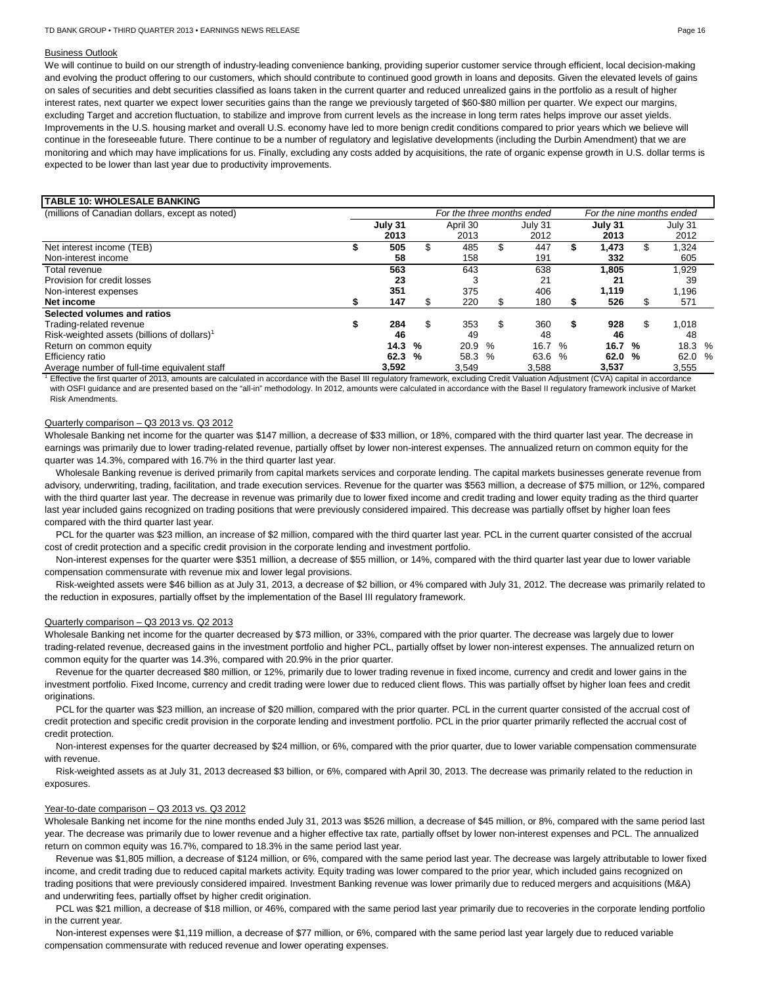#### Business Outlook

We will continue to build on our strength of industry-leading convenience banking, providing superior customer service through efficient, local decision-making and evolving the product offering to our customers, which should contribute to continued good growth in loans and deposits. Given the elevated levels of gains on sales of securities and debt securities classified as loans taken in the current quarter and reduced unrealized gains in the portfolio as a result of higher interest rates, next quarter we expect lower securities gains than the range we previously targeted of \$60-\$80 million per quarter. We expect our margins, excluding Target and accretion fluctuation, to stabilize and improve from current levels as the increase in long term rates helps improve our asset yields. Improvements in the U.S. housing market and overall U.S. economy have led to more benign credit conditions compared to prior years which we believe will continue in the foreseeable future. There continue to be a number of regulatory and legislative developments (including the Durbin Amendment) that we are monitoring and which may have implications for us. Finally, excluding any costs added by acquisitions, the rate of organic expense growth in U.S. dollar terms is expected to be lower than last year due to productivity improvements.

# **TABLE 10: WHOLESALE BANKING**

| (millions of Canadian dollars, except as noted)         | For the three months ended |         |    |          |   |         | For the nine months ended |         |     |         |  |  |  |
|---------------------------------------------------------|----------------------------|---------|----|----------|---|---------|---------------------------|---------|-----|---------|--|--|--|
|                                                         |                            | July 31 |    | April 30 |   | July 31 |                           | July 31 |     | July 31 |  |  |  |
|                                                         |                            | 2013    |    | 2013     |   | 2012    |                           | 2013    |     | 2012    |  |  |  |
| Net interest income (TEB)                               |                            | 505     |    | 485      |   | 447     |                           | .473    |     | ,324    |  |  |  |
| Non-interest income                                     |                            | 58      |    | 158      |   | 191     |                           | 332     |     | 605     |  |  |  |
| Total revenue                                           |                            | 563     |    | 643      |   | 638     |                           | 1,805   |     | 1,929   |  |  |  |
| Provision for credit losses                             |                            | 23      |    | 3        |   | 21      |                           | 21      |     | 39      |  |  |  |
| Non-interest expenses                                   |                            | 351     |    | 375      |   | 406     |                           | 1.119   |     | .196    |  |  |  |
| Net income                                              |                            | 147     | J. | 220      |   | 180     |                           | 526     |     | 571     |  |  |  |
| Selected volumes and ratios                             |                            |         |    |          |   |         |                           |         |     |         |  |  |  |
| Trading-related revenue                                 |                            | 284     | S  | 353      | S | 360     | S                         | 928     | \$. | 1,018   |  |  |  |
| Risk-weighted assets (billions of dollars) <sup>1</sup> |                            | 46      |    | 49       |   | 48      |                           | 46      |     | 48      |  |  |  |
| Return on common equity                                 |                            | 14.3    | %  | 20.9 %   |   | 16.7 %  |                           | 16.7 %  |     | 18.3 %  |  |  |  |
| Efficiency ratio                                        |                            | 62.3    | %  | 58.3 %   |   | 63.6 %  |                           | 62.0 %  |     | 62.0 %  |  |  |  |
| Average number of full-time equivalent staff            |                            | 3,592   |    | 3.549    |   | 3.588   |                           | 3.537   |     | 3,555   |  |  |  |

 $^1$  Effective the first quarter of 2013, amounts are calculated in accordance with the Basel III regulatory framework, excluding Credit Valuation Adjustment (CVA) capital in accordance with OSFI guidance and are presented based on the "all-in" methodology. In 2012, amounts were calculated in accordance with the Basel II regulatory framework inclusive of Market Risk Amendments.

#### Quarterly comparison – Q3 2013 vs. Q3 2012

Wholesale Banking net income for the quarter was \$147 million, a decrease of \$33 million, or 18%, compared with the third quarter last year. The decrease in earnings was primarily due to lower trading-related revenue, partially offset by lower non-interest expenses. The annualized return on common equity for the quarter was 14.3%, compared with 16.7% in the third quarter last year.

Wholesale Banking revenue is derived primarily from capital markets services and corporate lending. The capital markets businesses generate revenue from advisory, underwriting, trading, facilitation, and trade execution services. Revenue for the quarter was \$563 million, a decrease of \$75 million, or 12%, compared with the third quarter last year. The decrease in revenue was primarily due to lower fixed income and credit trading and lower equity trading as the third quarter last year included gains recognized on trading positions that were previously considered impaired. This decrease was partially offset by higher loan fees compared with the third quarter last year.

PCL for the quarter was \$23 million, an increase of \$2 million, compared with the third quarter last year. PCL in the current quarter consisted of the accrual cost of credit protection and a specific credit provision in the corporate lending and investment portfolio.

Non-interest expenses for the quarter were \$351 million, a decrease of \$55 million, or 14%, compared with the third quarter last year due to lower variable compensation commensurate with revenue mix and lower legal provisions.

Risk-weighted assets were \$46 billion as at July 31, 2013, a decrease of \$2 billion, or 4% compared with July 31, 2012. The decrease was primarily related to the reduction in exposures, partially offset by the implementation of the Basel III regulatory framework.

#### Quarterly comparison – Q3 2013 vs. Q2 2013

Wholesale Banking net income for the quarter decreased by \$73 million, or 33%, compared with the prior quarter. The decrease was largely due to lower trading-related revenue, decreased gains in the investment portfolio and higher PCL, partially offset by lower non-interest expenses. The annualized return on common equity for the quarter was 14.3%, compared with 20.9% in the prior quarter.

Revenue for the quarter decreased \$80 million, or 12%, primarily due to lower trading revenue in fixed income, currency and credit and lower gains in the investment portfolio. Fixed Income, currency and credit trading were lower due to reduced client flows. This was partially offset by higher loan fees and credit originations.

PCL for the quarter was \$23 million, an increase of \$20 million, compared with the prior quarter. PCL in the current quarter consisted of the accrual cost of credit protection and specific credit provision in the corporate lending and investment portfolio. PCL in the prior quarter primarily reflected the accrual cost of credit protection.

Non-interest expenses for the quarter decreased by \$24 million, or 6%, compared with the prior quarter, due to lower variable compensation commensurate with revenue.

Risk-weighted assets as at July 31, 2013 decreased \$3 billion, or 6%, compared with April 30, 2013. The decrease was primarily related to the reduction in exposures.

## Year-to-date comparison – Q3 2013 vs. Q3 2012

Wholesale Banking net income for the nine months ended July 31, 2013 was \$526 million, a decrease of \$45 million, or 8%, compared with the same period last year. The decrease was primarily due to lower revenue and a higher effective tax rate, partially offset by lower non-interest expenses and PCL. The annualized return on common equity was 16.7%, compared to 18.3% in the same period last year.

Revenue was \$1,805 million, a decrease of \$124 million, or 6%, compared with the same period last year. The decrease was largely attributable to lower fixed income, and credit trading due to reduced capital markets activity. Equity trading was lower compared to the prior year, which included gains recognized on trading positions that were previously considered impaired. Investment Banking revenue was lower primarily due to reduced mergers and acquisitions (M&A) and underwriting fees, partially offset by higher credit origination.

PCL was \$21 million, a decrease of \$18 million, or 46%, compared with the same period last year primarily due to recoveries in the corporate lending portfolio in the current year.

Non-interest expenses were \$1,119 million, a decrease of \$77 million, or 6%, compared with the same period last year largely due to reduced variable compensation commensurate with reduced revenue and lower operating expenses.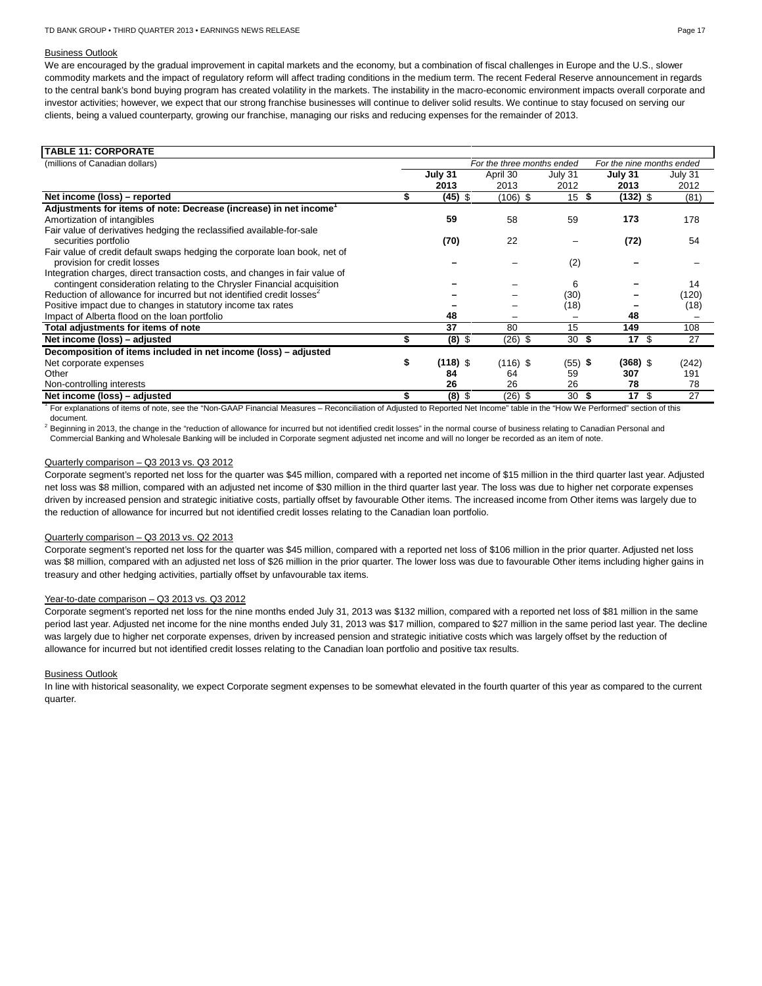## Business Outlook

We are encouraged by the gradual improvement in capital markets and the economy, but a combination of fiscal challenges in Europe and the U.S., slower commodity markets and the impact of regulatory reform will affect trading conditions in the medium term. The recent Federal Reserve announcement in regards to the central bank's bond buying program has created volatility in the markets. The instability in the macro-economic environment impacts overall corporate and investor activities; however, we expect that our strong franchise businesses will continue to deliver solid results. We continue to stay focused on serving our clients, being a valued counterparty, growing our franchise, managing our risks and reducing expenses for the remainder of 2013.

| For the three months ended |            |         | For the nine months ended |                            |
|----------------------------|------------|---------|---------------------------|----------------------------|
| July 31                    | April 30   | July 31 | July 31                   | July 31                    |
| 2013                       | 2013       | 2012    | 2013                      | 2012                       |
| $(45)$ \$                  | $(106)$ \$ | 15      | (132) \$                  | (81)                       |
|                            |            |         |                           |                            |
| 59                         | 58         | 59      | 173                       | 178                        |
|                            |            |         |                           |                            |
| (70)                       | 22         |         | (72)                      | 54                         |
|                            |            |         |                           |                            |
|                            |            | (2)     |                           |                            |
|                            |            |         |                           |                            |
|                            |            | 6       |                           | 14                         |
|                            |            | (30)    |                           | (120)                      |
|                            |            | (18)    |                           | (18)                       |
| 48                         |            |         | 48                        |                            |
| 37                         | 80         | 15      | 149                       | 108                        |
| $(8)$ \$                   | $(26)$ \$  | 30      | 17S                       | 27                         |
|                            |            |         |                           |                            |
| $(118)$ \$                 | $(116)$ \$ |         | $(368)$ \$                | (242)                      |
| 84                         | 64         | 59      | 307                       | 191                        |
| 26                         | 26         | 26      | 78                        | 78                         |
| $(8)$ \$                   | $(26)$ \$  | 30      | 17S                       | 27                         |
|                            |            |         |                           | S<br>\$<br>$(55)$ \$<br>S. |

For explanations of items of note, see the "Non-GAAP Financial Measures – Reconciliation of Adjusted to Reported Net Income" table in the "How We Performed" section of this document.

<sup>2</sup> Beginning in 2013, the change in the "reduction of allowance for incurred but not identified credit losses" in the normal course of business relating to Canadian Personal and Commercial Banking and Wholesale Banking will be included in Corporate segment adjusted net income and will no longer be recorded as an item of note.

#### Quarterly comparison – Q3 2013 vs. Q3 2012

Corporate segment's reported net loss for the quarter was \$45 million, compared with a reported net income of \$15 million in the third quarter last year. Adjusted net loss was \$8 million, compared with an adjusted net income of \$30 million in the third quarter last year. The loss was due to higher net corporate expenses driven by increased pension and strategic initiative costs, partially offset by favourable Other items. The increased income from Other items was largely due to the reduction of allowance for incurred but not identified credit losses relating to the Canadian loan portfolio.

# Quarterly comparison – Q3 2013 vs. Q2 2013

Corporate segment's reported net loss for the quarter was \$45 million, compared with a reported net loss of \$106 million in the prior quarter. Adjusted net loss was \$8 million, compared with an adjusted net loss of \$26 million in the prior quarter. The lower loss was due to favourable Other items including higher gains in treasury and other hedging activities, partially offset by unfavourable tax items.

# Year-to-date comparison – Q3 2013 vs. Q3 2012

Corporate segment's reported net loss for the nine months ended July 31, 2013 was \$132 million, compared with a reported net loss of \$81 million in the same period last year. Adjusted net income for the nine months ended July 31, 2013 was \$17 million, compared to \$27 million in the same period last year. The decline was largely due to higher net corporate expenses, driven by increased pension and strategic initiative costs which was largely offset by the reduction of allowance for incurred but not identified credit losses relating to the Canadian loan portfolio and positive tax results.

#### Business Outlook

In line with historical seasonality, we expect Corporate segment expenses to be somewhat elevated in the fourth quarter of this year as compared to the current quarter.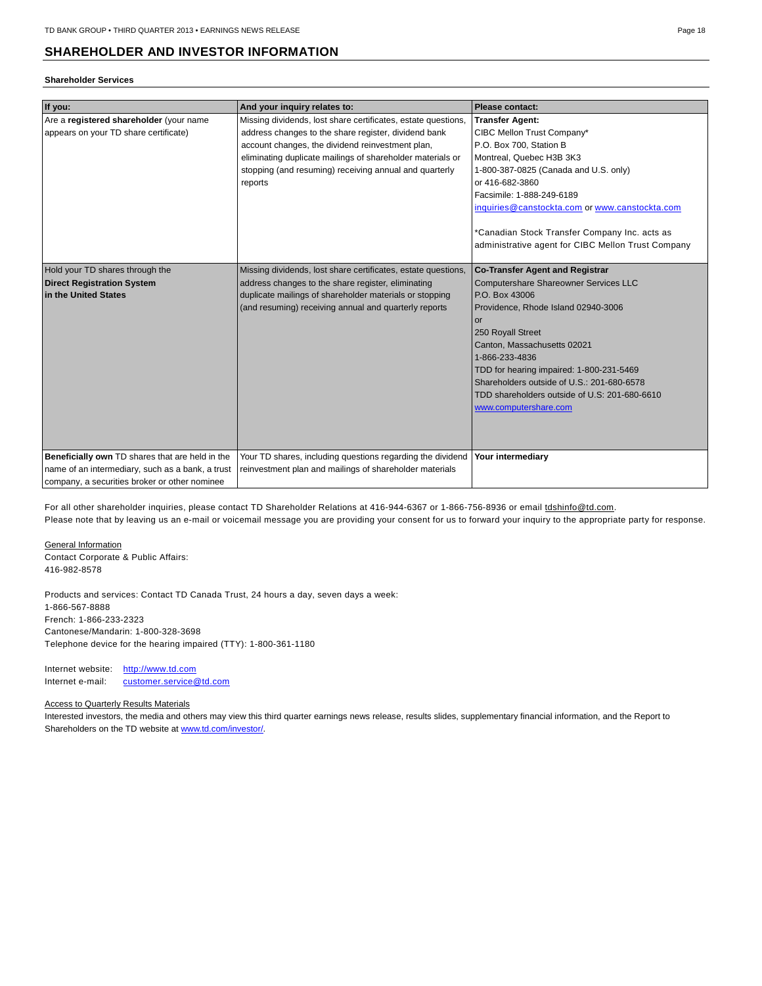# **SHAREHOLDER AND INVESTOR INFORMATION**

# **Shareholder Services**

| If you:                                                                                                                                              | And your inquiry relates to:                                                                                                                                                                                                                                                                                 | Please contact:                                                                                                                                                                                                                                                                                                                                                                          |
|------------------------------------------------------------------------------------------------------------------------------------------------------|--------------------------------------------------------------------------------------------------------------------------------------------------------------------------------------------------------------------------------------------------------------------------------------------------------------|------------------------------------------------------------------------------------------------------------------------------------------------------------------------------------------------------------------------------------------------------------------------------------------------------------------------------------------------------------------------------------------|
| Are a registered shareholder (your name<br>appears on your TD share certificate)                                                                     | Missing dividends, lost share certificates, estate questions,<br>address changes to the share register, dividend bank<br>account changes, the dividend reinvestment plan,<br>eliminating duplicate mailings of shareholder materials or<br>stopping (and resuming) receiving annual and quarterly<br>reports | <b>Transfer Agent:</b><br>CIBC Mellon Trust Company*<br>P.O. Box 700. Station B<br>Montreal, Quebec H3B 3K3<br>1-800-387-0825 (Canada and U.S. only)<br>or 416-682-3860<br>Facsimile: 1-888-249-6189<br>inquiries@canstockta.com or www.canstockta.com<br>*Canadian Stock Transfer Company Inc. acts as                                                                                  |
|                                                                                                                                                      |                                                                                                                                                                                                                                                                                                              | administrative agent for CIBC Mellon Trust Company                                                                                                                                                                                                                                                                                                                                       |
| Hold your TD shares through the<br><b>Direct Registration System</b><br>in the United States                                                         | Missing dividends, lost share certificates, estate questions,<br>address changes to the share register, eliminating<br>duplicate mailings of shareholder materials or stopping<br>(and resuming) receiving annual and quarterly reports                                                                      | <b>Co-Transfer Agent and Registrar</b><br>Computershare Shareowner Services LLC<br>P.O. Box 43006<br>Providence, Rhode Island 02940-3006<br>or<br>250 Royall Street<br>Canton, Massachusetts 02021<br>1-866-233-4836<br>TDD for hearing impaired: 1-800-231-5469<br>Shareholders outside of U.S.: 201-680-6578<br>TDD shareholders outside of U.S: 201-680-6610<br>www.computershare.com |
| Beneficially own TD shares that are held in the<br>name of an intermediary, such as a bank, a trust<br>company, a securities broker or other nominee | Your TD shares, including questions regarding the dividend<br>reinvestment plan and mailings of shareholder materials                                                                                                                                                                                        | Your intermediary                                                                                                                                                                                                                                                                                                                                                                        |
|                                                                                                                                                      |                                                                                                                                                                                                                                                                                                              |                                                                                                                                                                                                                                                                                                                                                                                          |

For all other shareholder inquiries, please contact TD Shareholder Relations at 416-944-6367 or 1-866-756-8936 or email to shinfo@td.com. Please note that by leaving us an e-mail or voicemail message you are providing your consent for us to forward your inquiry to the appropriate party for response.

#### General Information

Contact Corporate & Public Affairs: 416-982-8578

Products and services: Contact TD Canada Trust, 24 hours a day, seven days a week: 1-866-567-8888 French: 1-866-233-2323 Cantonese/Mandarin: 1-800-328-3698 Telephone device for the hearing impaired (TTY): 1-800-361-1180

Internet website: http://www.td.com Internet e-mail: [customer.service@td.com](mailto:customer.service@td.com)

# **Access to Quarterly Results Materials**

Interested investors, the media and others may view this third quarter earnings news release, results slides, supplementary financial information, and the Report to Shareholders on the TD website at [www.td.com/investor/.](http://www.td.com/investor/)